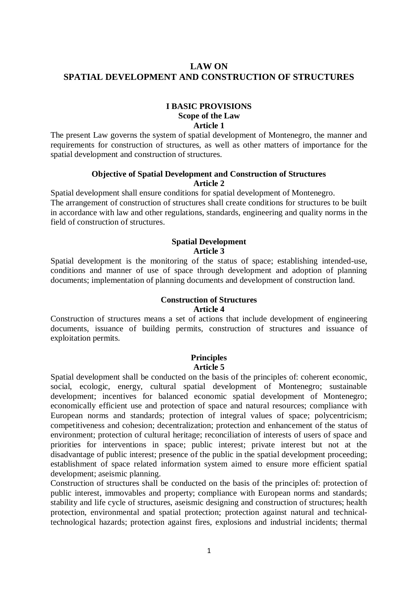# **LAW ON SPATIAL DEVELOPMENT AND CONSTRUCTION OF STRUCTURES**

# **I BASIC PROVISIONS Scope of the Law Article 1**

The present Law governs the system of spatial development of Montenegro, the manner and requirements for construction of structures, as well as other matters of importance for the spatial development and construction of structures.

## **Objective of Spatial Development and Construction of Structures Article 2**

Spatial development shall ensure conditions for spatial development of Montenegro. The arrangement of construction of structures shall create conditions for structures to be built in accordance with law and other regulations, standards, engineering and quality norms in the field of construction of structures.

# **Spatial Development**

## **Article 3**

Spatial development is the monitoring of the status of space; establishing intended-use, conditions and manner of use of space through development and adoption of planning documents; implementation of planning documents and development of construction land.

#### **Construction of Structures Article 4**

Construction of structures means a set of actions that include development of engineering documents, issuance of building permits, construction of structures and issuance of exploitation permits.

#### **Principles Article 5**

Spatial development shall be conducted on the basis of the principles of: coherent economic, social, ecologic, energy, cultural spatial development of Montenegro; sustainable development; incentives for balanced economic spatial development of Montenegro; economically efficient use and protection of space and natural resources; compliance with European norms and standards; protection of integral values of space; polycentricism; competitiveness and cohesion; decentralization; protection and enhancement of the status of environment; protection of cultural heritage; reconciliation of interests of users of space and priorities for interventions in space; public interest; private interest but not at the disadvantage of public interest; presence of the public in the spatial development proceeding; establishment of space related information system aimed to ensure more efficient spatial development; aseismic planning.

Construction of structures shall be conducted on the basis of the principles of: protection of public interest, immovables and property; compliance with European norms and standards; stability and life cycle of structures, aseismic designing and construction of structures; health protection, environmental and spatial protection; protection against natural and technicaltechnological hazards; protection against fires, explosions and industrial incidents; thermal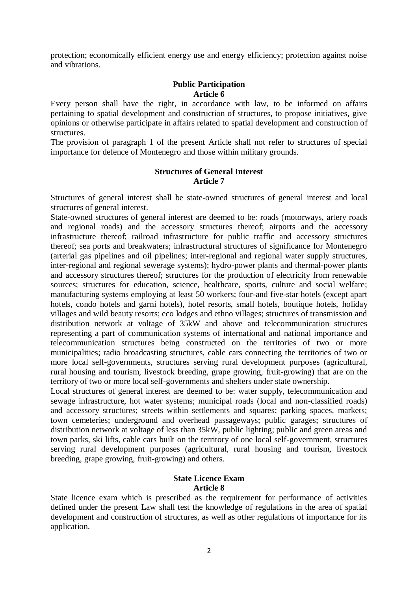protection; economically efficient energy use and energy efficiency; protection against noise and vibrations.

#### **Public Participation Article 6**

Every person shall have the right, in accordance with law, to be informed on affairs pertaining to spatial development and construction of structures, to propose initiatives, give opinions or otherwise participate in affairs related to spatial development and construction of structures.

The provision of paragraph 1 of the present Article shall not refer to structures of special importance for defence of Montenegro and those within military grounds.

#### **Structures of General Interest Article 7**

Structures of general interest shall be state-owned structures of general interest and local structures of general interest.

State-owned structures of general interest are deemed to be: roads (motorways, artery roads and regional roads) and the accessory structures thereof; airports and the accessory infrastructure thereof; railroad infrastructure for public traffic and accessory structures thereof; sea ports and breakwaters; infrastructural structures of significance for Montenegro (arterial gas pipelines and oil pipelines; inter-regional and regional water supply structures, inter-regional and regional sewerage systems); hydro-power plants and thermal-power plants and accessory structures thereof; structures for the production of electricity from renewable sources; structures for education, science, healthcare, sports, culture and social welfare; manufacturing systems employing at least 50 workers; four-and five-star hotels (except apart hotels, condo hotels and garni hotels), hotel resorts, small hotels, boutique hotels, holiday villages and wild beauty resorts; eco lodges and ethno villages; structures of transmission and distribution network at voltage of 35kW and above and telecommunication structures representing a part of communication systems of international and national importance and telecommunication structures being constructed on the territories of two or more municipalities; radio broadcasting structures, cable cars connecting the territories of two or more local self-governments, structures serving rural development purposes (agricultural, rural housing and tourism, livestock breeding, grape growing, fruit-growing) that are on the territory of two or more local self-governments and shelters under state ownership.

Local structures of general interest are deemed to be: water supply, telecommunication and sewage infrastructure, hot water systems; municipal roads (local and non-classified roads) and accessory structures; streets within settlements and squares; parking spaces, markets; town cemeteries; underground and overhead passageways; public garages; structures of distribution network at voltage of less than 35kW, public lighting; public and green areas and town parks, ski lifts, cable cars built on the territory of one local self-government, structures serving rural development purposes (agricultural, rural housing and tourism, livestock breeding, grape growing, fruit-growing) and others.

#### **State Licence Exam Article 8**

State licence exam which is prescribed as the requirement for performance of activities defined under the present Law shall test the knowledge of regulations in the area of spatial development and construction of structures, as well as other regulations of importance for its application.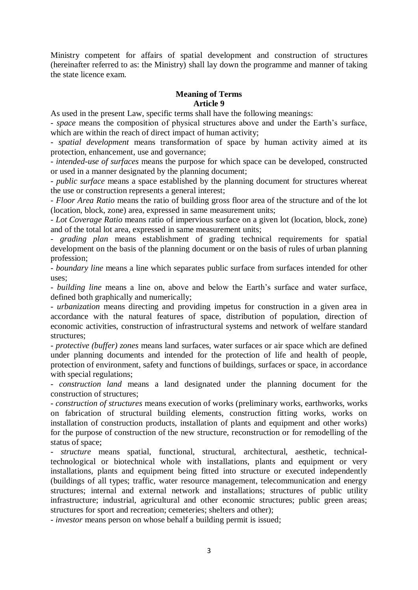Ministry competent for affairs of spatial development and construction of structures (hereinafter referred to as: the Ministry) shall lay down the programme and manner of taking the state licence exam.

# **Meaning of Terms**

**Article 9**

As used in the present Law, specific terms shall have the following meanings:

- *space* means the composition of physical structures above and under the Earth's surface, which are within the reach of direct impact of human activity;

- *spatial development* means transformation of space by human activity aimed at its protection, enhancement, use and governance;

- *intended-use of surfaces* means the purpose for which space can be developed, constructed or used in a manner designated by the planning document;

- *public surface* means a space established by the planning document for structures whereat the use or construction represents a general interest;

- *Floor Area Ratio* means the ratio of building gross floor area of the structure and of the lot (location, block, zone) area, expressed in same measurement units;

- *Lot Coverage Ratio* means ratio of impervious surface on a given lot (location, block, zone) and of the total lot area, expressed in same measurement units;

- *grading plan* means establishment of grading technical requirements for spatial development on the basis of the planning document or on the basis of rules of urban planning profession;

- *boundary line* means a line which separates public surface from surfaces intended for other uses;

- *building line* means a line on, above and below the Earth's surface and water surface, defined both graphically and numerically;

- *urbanization* means directing and providing impetus for construction in a given area in accordance with the natural features of space, distribution of population, direction of economic activities, construction of infrastructural systems and network of welfare standard structures;

- *protective (buffer) zones* means land surfaces, water surfaces or air space which are defined under planning documents and intended for the protection of life and health of people, protection of environment, safety and functions of buildings, surfaces or space, in accordance with special regulations;

- *construction land* means a land designated under the planning document for the construction of structures;

- *construction of structures* means execution of works (preliminary works, earthworks, works on fabrication of structural building elements, construction fitting works, works on installation of construction products, installation of plants and equipment and other works) for the purpose of construction of the new structure, reconstruction or for remodelling of the status of space;

- *structure* means spatial, functional, structural, architectural, aesthetic, technicaltechnological or biotechnical whole with installations, plants and equipment or very installations, plants and equipment being fitted into structure or executed independently (buildings of all types; traffic, water resource management, telecommunication and energy structures; internal and external network and installations; structures of public utility infrastructure; industrial, agricultural and other economic structures; public green areas; structures for sport and recreation; cemeteries; shelters and other);

- *investor* means person on whose behalf a building permit is issued;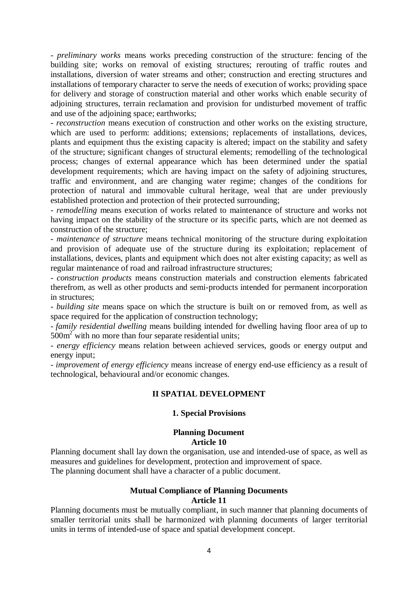- *preliminary works* means works preceding construction of the structure: fencing of the building site; works on removal of existing structures; rerouting of traffic routes and installations, diversion of water streams and other; construction and erecting structures and installations of temporary character to serve the needs of execution of works; providing space for delivery and storage of construction material and other works which enable security of adjoining structures, terrain reclamation and provision for undisturbed movement of traffic and use of the adjoining space; earthworks;

- *reconstruction* means execution of construction and other works on the existing structure, which are used to perform: additions; extensions; replacements of installations, devices, plants and equipment thus the existing capacity is altered; impact on the stability and safety of the structure; significant changes of structural elements; remodelling of the technological process; changes of external appearance which has been determined under the spatial development requirements; which are having impact on the safety of adjoining structures, traffic and environment, and are changing water regime; changes of the conditions for protection of natural and immovable cultural heritage, weal that are under previously established protection and protection of their protected surrounding;

- *remodelling* means execution of works related to maintenance of structure and works not having impact on the stability of the structure or its specific parts, which are not deemed as construction of the structure;

- *maintenance of structure* means technical monitoring of the structure during exploitation and provision of adequate use of the structure during its exploitation; replacement of installations, devices, plants and equipment which does not alter existing capacity; as well as regular maintenance of road and railroad infrastructure structures;

- *construction products* means construction materials and construction elements fabricated therefrom, as well as other products and semi-products intended for permanent incorporation in structures;

- *building site* means space on which the structure is built on or removed from, as well as space required for the application of construction technology;

- *family residential dwelling* means building intended for dwelling having floor area of up to  $500m<sup>2</sup>$  with no more than four separate residential units;

- *energy efficiency* means relation between achieved services, goods or energy output and energy input;

- *improvement of energy efficiency* means increase of energy end-use efficiency as a result of technological, behavioural and/or economic changes.

#### **II SPATIAL DEVELOPMENT**

#### **1. Special Provisions**

#### **Planning Document Article 10**

Planning document shall lay down the organisation, use and intended-use of space, as well as measures and guidelines for development, protection and improvement of space. The planning document shall have a character of a public document.

#### **Mutual Compliance of Planning Documents Article 11**

Planning documents must be mutually compliant, in such manner that planning documents of smaller territorial units shall be harmonized with planning documents of larger territorial units in terms of intended-use of space and spatial development concept.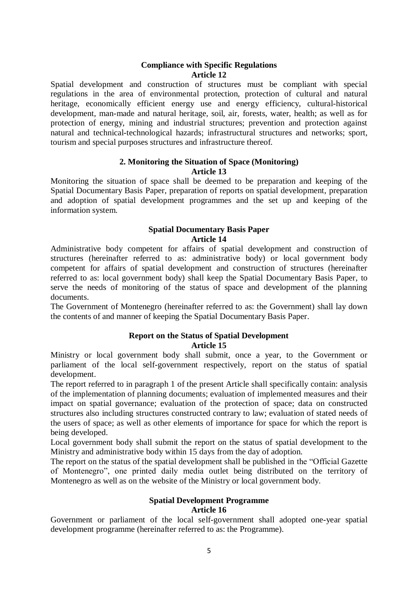## **Compliance with Specific Regulations Article 12**

Spatial development and construction of structures must be compliant with special regulations in the area of environmental protection, protection of cultural and natural heritage, economically efficient energy use and energy efficiency, cultural-historical development, man-made and natural heritage, soil, air, forests, water, health; as well as for protection of energy, mining and industrial structures; prevention and protection against natural and technical-technological hazards; infrastructural structures and networks; sport, tourism and special purposes structures and infrastructure thereof.

#### **2. Monitoring the Situation of Space (Monitoring) Article 13**

Monitoring the situation of space shall be deemed to be preparation and keeping of the Spatial Documentary Basis Paper, preparation of reports on spatial development, preparation and adoption of spatial development programmes and the set up and keeping of the information system.

## **Spatial Documentary Basis Paper Article 14**

Administrative body competent for affairs of spatial development and construction of structures (hereinafter referred to as: administrative body) or local government body competent for affairs of spatial development and construction of structures (hereinafter referred to as: local government body) shall keep the Spatial Documentary Basis Paper, to serve the needs of monitoring of the status of space and development of the planning documents.

The Government of Montenegro (hereinafter referred to as: the Government) shall lay down the contents of and manner of keeping the Spatial Documentary Basis Paper.

## **Report on the Status of Spatial Development Article 15**

Ministry or local government body shall submit, once a year, to the Government or parliament of the local self-government respectively, report on the status of spatial development.

The report referred to in paragraph 1 of the present Article shall specifically contain: analysis of the implementation of planning documents; evaluation of implemented measures and their impact on spatial governance; evaluation of the protection of space; data on constructed structures also including structures constructed contrary to law; evaluation of stated needs of the users of space; as well as other elements of importance for space for which the report is being developed.

Local government body shall submit the report on the status of spatial development to the Ministry and administrative body within 15 days from the day of adoption.

The report on the status of the spatial development shall be published in the "Official Gazette of Montenegro", one printed daily media outlet being distributed on the territory of Montenegro as well as on the website of the Ministry or local government body.

#### **Spatial Development Programme Article 16**

Government or parliament of the local self-government shall adopted one-year spatial development programme (hereinafter referred to as: the Programme).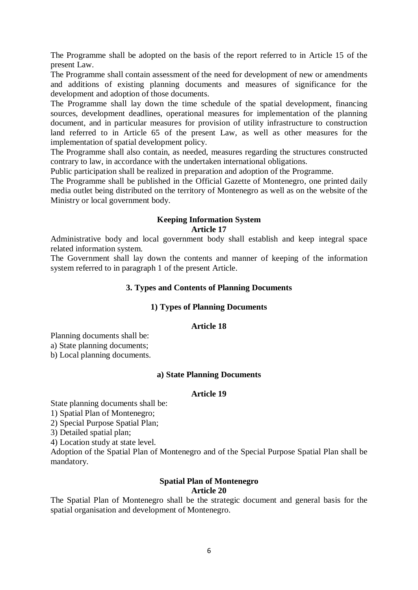The Programme shall be adopted on the basis of the report referred to in Article 15 of the present Law.

The Programme shall contain assessment of the need for development of new or amendments and additions of existing planning documents and measures of significance for the development and adoption of those documents.

The Programme shall lay down the time schedule of the spatial development, financing sources, development deadlines, operational measures for implementation of the planning document, and in particular measures for provision of utility infrastructure to construction land referred to in Article 65 of the present Law, as well as other measures for the implementation of spatial development policy.

The Programme shall also contain, as needed, measures regarding the structures constructed contrary to law, in accordance with the undertaken international obligations.

Public participation shall be realized in preparation and adoption of the Programme.

The Programme shall be published in the Official Gazette of Montenegro, one printed daily media outlet being distributed on the territory of Montenegro as well as on the website of the Ministry or local government body.

## **Keeping Information System Article 17**

Administrative body and local government body shall establish and keep integral space related information system.

The Government shall lay down the contents and manner of keeping of the information system referred to in paragraph 1 of the present Article.

## **3. Types and Contents of Planning Documents**

#### **1) Types of Planning Documents**

#### **Article 18**

Planning documents shall be: a) State planning documents;

b) Local planning documents.

#### **a) State Planning Documents**

#### **Article 19**

State planning documents shall be:

1) Spatial Plan of Montenegro;

2) Special Purpose Spatial Plan;

3) Detailed spatial plan;

4) Location study at state level.

Adoption of the Spatial Plan of Montenegro and of the Special Purpose Spatial Plan shall be mandatory.

#### **Spatial Plan of Montenegro Article 20**

The Spatial Plan of Montenegro shall be the strategic document and general basis for the spatial organisation and development of Montenegro.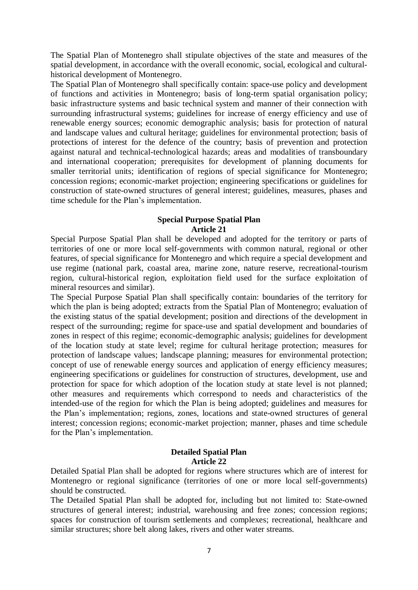The Spatial Plan of Montenegro shall stipulate objectives of the state and measures of the spatial development, in accordance with the overall economic, social, ecological and culturalhistorical development of Montenegro.

The Spatial Plan of Montenegro shall specifically contain: space-use policy and development of functions and activities in Montenegro; basis of long-term spatial organisation policy; basic infrastructure systems and basic technical system and manner of their connection with surrounding infrastructural systems; guidelines for increase of energy efficiency and use of renewable energy sources; economic demographic analysis; basis for protection of natural and landscape values and cultural heritage; guidelines for environmental protection; basis of protections of interest for the defence of the country; basis of prevention and protection against natural and technical-technological hazards; areas and modalities of transboundary and international cooperation; prerequisites for development of planning documents for smaller territorial units; identification of regions of special significance for Montenegro; concession regions; economic-market projection; engineering specifications or guidelines for construction of state-owned structures of general interest; guidelines, measures, phases and time schedule for the Plan's implementation.

#### **Special Purpose Spatial Plan Article 21**

Special Purpose Spatial Plan shall be developed and adopted for the territory or parts of territories of one or more local self-governments with common natural, regional or other features, of special significance for Montenegro and which require a special development and use regime (national park, coastal area, marine zone, nature reserve, recreational-tourism region, cultural-historical region, exploitation field used for the surface exploitation of mineral resources and similar).

The Special Purpose Spatial Plan shall specifically contain: boundaries of the territory for which the plan is being adopted; extracts from the Spatial Plan of Montenegro; evaluation of the existing status of the spatial development; position and directions of the development in respect of the surrounding; regime for space-use and spatial development and boundaries of zones in respect of this regime; economic-demographic analysis; guidelines for development of the location study at state level; regime for cultural heritage protection; measures for protection of landscape values; landscape planning; measures for environmental protection; concept of use of renewable energy sources and application of energy efficiency measures; engineering specifications or guidelines for construction of structures, development, use and protection for space for which adoption of the location study at state level is not planned; other measures and requirements which correspond to needs and characteristics of the intended-use of the region for which the Plan is being adopted; guidelines and measures for the Plan's implementation; regions, zones, locations and state-owned structures of general interest; concession regions; economic-market projection; manner, phases and time schedule for the Plan's implementation.

## **Detailed Spatial Plan Article 22**

Detailed Spatial Plan shall be adopted for regions where structures which are of interest for Montenegro or regional significance (territories of one or more local self-governments) should be constructed.

The Detailed Spatial Plan shall be adopted for, including but not limited to: State-owned structures of general interest; industrial, warehousing and free zones; concession regions; spaces for construction of tourism settlements and complexes; recreational, healthcare and similar structures; shore belt along lakes, rivers and other water streams.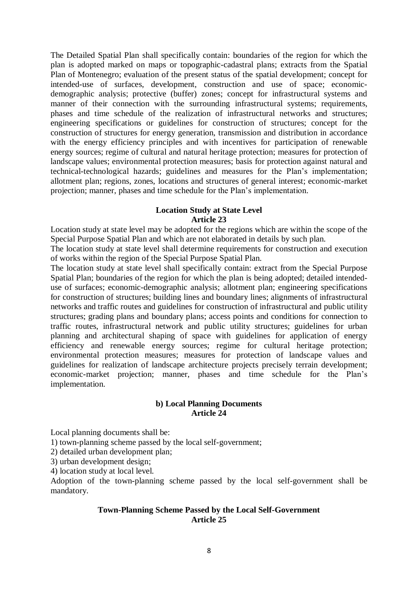The Detailed Spatial Plan shall specifically contain: boundaries of the region for which the plan is adopted marked on maps or topographic-cadastral plans; extracts from the Spatial Plan of Montenegro; evaluation of the present status of the spatial development; concept for intended-use of surfaces, development, construction and use of space; economicdemographic analysis; protective (buffer) zones; concept for infrastructural systems and manner of their connection with the surrounding infrastructural systems; requirements, phases and time schedule of the realization of infrastructural networks and structures; engineering specifications or guidelines for construction of structures; concept for the construction of structures for energy generation, transmission and distribution in accordance with the energy efficiency principles and with incentives for participation of renewable energy sources; regime of cultural and natural heritage protection; measures for protection of landscape values; environmental protection measures; basis for protection against natural and technical-technological hazards; guidelines and measures for the Plan's implementation; allotment plan; regions, zones, locations and structures of general interest; economic-market projection; manner, phases and time schedule for the Plan's implementation.

#### **Location Study at State Level Article 23**

Location study at state level may be adopted for the regions which are within the scope of the Special Purpose Spatial Plan and which are not elaborated in details by such plan.

The location study at state level shall determine requirements for construction and execution of works within the region of the Special Purpose Spatial Plan.

The location study at state level shall specifically contain: extract from the Special Purpose Spatial Plan; boundaries of the region for which the plan is being adopted; detailed intendeduse of surfaces; economic-demographic analysis; allotment plan; engineering specifications for construction of structures; building lines and boundary lines; alignments of infrastructural networks and traffic routes and guidelines for construction of infrastructural and public utility structures; grading plans and boundary plans; access points and conditions for connection to traffic routes, infrastructural network and public utility structures; guidelines for urban planning and architectural shaping of space with guidelines for application of energy efficiency and renewable energy sources; regime for cultural heritage protection; environmental protection measures; measures for protection of landscape values and guidelines for realization of landscape architecture projects precisely terrain development; economic-market projection; manner, phases and time schedule for the Plan's implementation.

#### **b) Local Planning Documents Article 24**

Local planning documents shall be:

1) town-planning scheme passed by the local self-government;

2) detailed urban development plan;

3) urban development design;

4) location study at local level.

Adoption of the town-planning scheme passed by the local self-government shall be mandatory.

### **Town-Planning Scheme Passed by the Local Self-Government Article 25**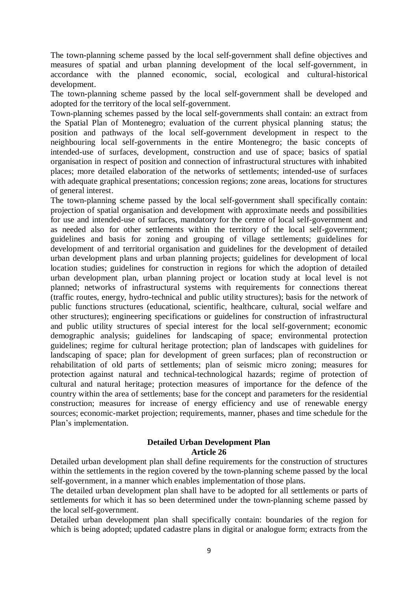The town-planning scheme passed by the local self-government shall define objectives and measures of spatial and urban planning development of the local self-government, in accordance with the planned economic, social, ecological and cultural-historical development.

The town-planning scheme passed by the local self-government shall be developed and adopted for the territory of the local self-government.

Town-planning schemes passed by the local self-governments shall contain: an extract from the Spatial Plan of Montenegro; evaluation of the current physical planning status; the position and pathways of the local self-government development in respect to the neighbouring local self-governments in the entire Montenegro; the basic concepts of intended-use of surfaces, development, construction and use of space; basics of spatial organisation in respect of position and connection of infrastructural structures with inhabited places; more detailed elaboration of the networks of settlements; intended-use of surfaces with adequate graphical presentations; concession regions; zone areas, locations for structures of general interest.

The town-planning scheme passed by the local self-government shall specifically contain: projection of spatial organisation and development with approximate needs and possibilities for use and intended-use of surfaces, mandatory for the centre of local self-government and as needed also for other settlements within the territory of the local self-government; guidelines and basis for zoning and grouping of village settlements; guidelines for development of and territorial organisation and guidelines for the development of detailed urban development plans and urban planning projects; guidelines for development of local location studies; guidelines for construction in regions for which the adoption of detailed urban development plan, urban planning project or location study at local level is not planned; networks of infrastructural systems with requirements for connections thereat (traffic routes, energy, hydro-technical and public utility structures); basis for the network of public functions structures (educational, scientific, healthcare, cultural, social welfare and other structures); engineering specifications or guidelines for construction of infrastructural and public utility structures of special interest for the local self-government; economic demographic analysis; guidelines for landscaping of space; environmental protection guidelines; regime for cultural heritage protection; plan of landscapes with guidelines for landscaping of space; plan for development of green surfaces; plan of reconstruction or rehabilitation of old parts of settlements; plan of seismic micro zoning; measures for protection against natural and technical-technological hazards; regime of protection of cultural and natural heritage; protection measures of importance for the defence of the country within the area of settlements; base for the concept and parameters for the residential construction; measures for increase of energy efficiency and use of renewable energy sources; economic-market projection; requirements, manner, phases and time schedule for the Plan's implementation.

#### **Detailed Urban Development Plan Article 26**

Detailed urban development plan shall define requirements for the construction of structures within the settlements in the region covered by the town-planning scheme passed by the local self-government, in a manner which enables implementation of those plans.

The detailed urban development plan shall have to be adopted for all settlements or parts of settlements for which it has so been determined under the town-planning scheme passed by the local self-government.

Detailed urban development plan shall specifically contain: boundaries of the region for which is being adopted; updated cadastre plans in digital or analogue form; extracts from the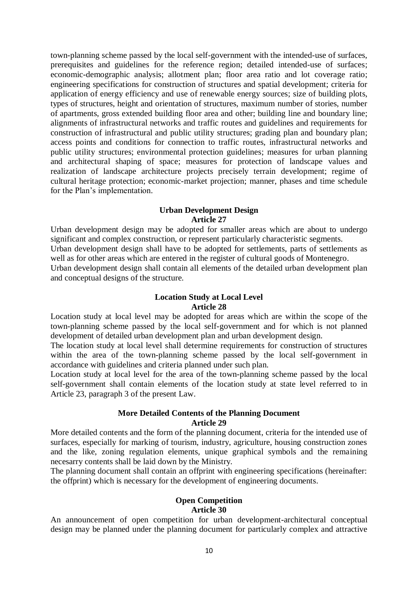town-planning scheme passed by the local self-government with the intended-use of surfaces, prerequisites and guidelines for the reference region; detailed intended-use of surfaces; economic-demographic analysis; allotment plan; floor area ratio and lot coverage ratio; engineering specifications for construction of structures and spatial development; criteria for application of energy efficiency and use of renewable energy sources; size of building plots, types of structures, height and orientation of structures, maximum number of stories, number of apartments, gross extended building floor area and other; building line and boundary line; alignments of infrastructural networks and traffic routes and guidelines and requirements for construction of infrastructural and public utility structures; grading plan and boundary plan; access points and conditions for connection to traffic routes, infrastructural networks and public utility structures; environmental protection guidelines; measures for urban planning and architectural shaping of space; measures for protection of landscape values and realization of landscape architecture projects precisely terrain development; regime of cultural heritage protection; economic-market projection; manner, phases and time schedule for the Plan's implementation.

#### **Urban Development Design Article 27**

Urban development design may be adopted for smaller areas which are about to undergo significant and complex construction, or represent particularly characteristic segments.

Urban development design shall have to be adopted for settlements, parts of settlements as well as for other areas which are entered in the register of cultural goods of Montenegro.

Urban development design shall contain all elements of the detailed urban development plan and conceptual designs of the structure.

#### **Location Study at Local Level Article 28**

Location study at local level may be adopted for areas which are within the scope of the town-planning scheme passed by the local self-government and for which is not planned development of detailed urban development plan and urban development design.

The location study at local level shall determine requirements for construction of structures within the area of the town-planning scheme passed by the local self-government in accordance with guidelines and criteria planned under such plan.

Location study at local level for the area of the town-planning scheme passed by the local self-government shall contain elements of the location study at state level referred to in Article 23, paragraph 3 of the present Law.

#### **More Detailed Contents of the Planning Document Article 29**

More detailed contents and the form of the planning document, criteria for the intended use of surfaces, especially for marking of tourism, industry, agriculture, housing construction zones and the like, zoning regulation elements, unique graphical symbols and the remaining necesarry contents shall be laid down by the Ministry.

The planning document shall contain an offprint with engineering specifications (hereinafter: the offprint) which is necessary for the development of engineering documents.

#### **Open Competition Article 30**

An announcement of open competition for urban development-architectural conceptual design may be planned under the planning document for particularly complex and attractive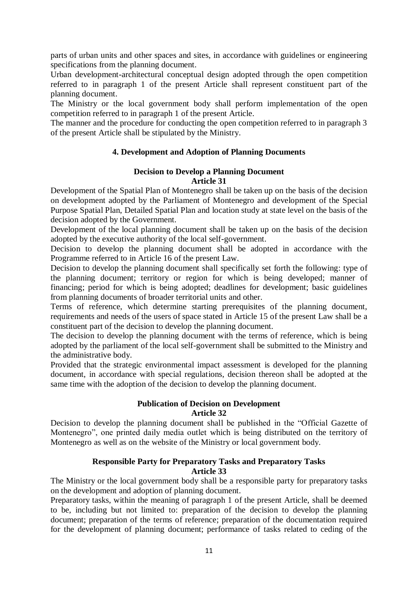parts of urban units and other spaces and sites, in accordance with guidelines or engineering specifications from the planning document.

Urban development-architectural conceptual design adopted through the open competition referred to in paragraph 1 of the present Article shall represent constituent part of the planning document.

The Ministry or the local government body shall perform implementation of the open competition referred to in paragraph 1 of the present Article.

The manner and the procedure for conducting the open competition referred to in paragraph 3 of the present Article shall be stipulated by the Ministry.

## **4. Development and Adoption of Planning Documents**

#### **Decision to Develop a Planning Document Article 31**

Development of the Spatial Plan of Montenegro shall be taken up on the basis of the decision on development adopted by the Parliament of Montenegro and development of the Special Purpose Spatial Plan, Detailed Spatial Plan and location study at state level on the basis of the decision adopted by the Government.

Development of the local planning document shall be taken up on the basis of the decision adopted by the executive authority of the local self-government.

Decision to develop the planning document shall be adopted in accordance with the Programme referred to in Article 16 of the present Law.

Decision to develop the planning document shall specifically set forth the following: type of the planning document; territory or region for which is being developed; manner of financing; period for which is being adopted; deadlines for development; basic guidelines from planning documents of broader territorial units and other.

Terms of reference, which determine starting prerequisites of the planning document, requirements and needs of the users of space stated in Article 15 of the present Law shall be a constituent part of the decision to develop the planning document.

The decision to develop the planning document with the terms of reference, which is being adopted by the parliament of the local self-government shall be submitted to the Ministry and the administrative body.

Provided that the strategic environmental impact assessment is developed for the planning document, in accordance with special regulations, decision thereon shall be adopted at the same time with the adoption of the decision to develop the planning document.

#### **Publication of Decision on Development Article 32**

Decision to develop the planning document shall be published in the "Official Gazette of Montenegro", one printed daily media outlet which is being distributed on the territory of Montenegro as well as on the website of the Ministry or local government body.

## **Responsible Party for Preparatory Tasks and Preparatory Tasks Article 33**

The Ministry or the local government body shall be a responsible party for preparatory tasks on the development and adoption of planning document.

Preparatory tasks, within the meaning of paragraph 1 of the present Article, shall be deemed to be, including but not limited to: preparation of the decision to develop the planning document; preparation of the terms of reference; preparation of the documentation required for the development of planning document; performance of tasks related to ceding of the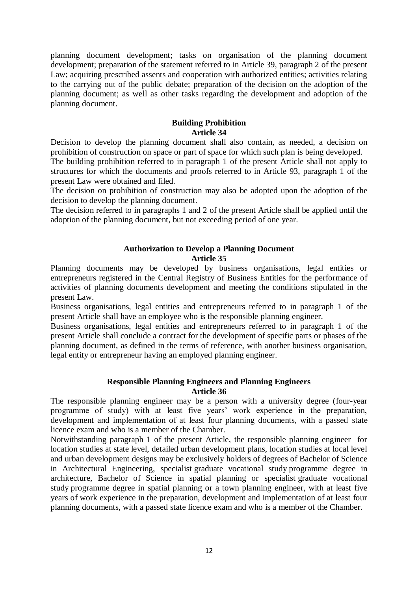planning document development; tasks on organisation of the planning document development; preparation of the statement referred to in Article 39, paragraph 2 of the present Law; acquiring prescribed assents and cooperation with authorized entities; activities relating to the carrying out of the public debate; preparation of the decision on the adoption of the planning document; as well as other tasks regarding the development and adoption of the planning document.

## **Building Prohibition Article 34**

Decision to develop the planning document shall also contain, as needed, a decision on prohibition of construction on space or part of space for which such plan is being developed.

The building prohibition referred to in paragraph 1 of the present Article shall not apply to structures for which the documents and proofs referred to in Article 93, paragraph 1 of the present Law were obtained and filed.

The decision on prohibition of construction may also be adopted upon the adoption of the decision to develop the planning document.

The decision referred to in paragraphs 1 and 2 of the present Article shall be applied until the adoption of the planning document, but not exceeding period of one year.

## **Authorization to Develop a Planning Document Article 35**

Planning documents may be developed by business organisations, legal entities or entrepreneurs registered in the Central Registry of Business Entities for the performance of activities of planning documents development and meeting the conditions stipulated in the present Law.

Business organisations, legal entities and entrepreneurs referred to in paragraph 1 of the present Article shall have an employee who is the responsible planning engineer.

Business organisations, legal entities and entrepreneurs referred to in paragraph 1 of the present Article shall conclude a contract for the development of specific parts or phases of the planning document, as defined in the terms of reference, with another business organisation, legal entity or entrepreneur having an employed planning engineer.

#### **Responsible Planning Engineers and Planning Engineers Article 36**

The responsible planning engineer may be a person with a university degree (four-year programme of study) with at least five years' work experience in the preparation, development and implementation of at least four planning documents, with a passed state licence exam and who is a member of the Chamber.

Notwithstanding paragraph 1 of the present Article, the responsible planning engineer for location studies at state level, detailed urban development plans, location studies at local level and urban development designs may be exclusively holders of degrees of Bachelor of Science in Architectural Engineering, specialist graduate vocational study programme degree in architecture, Bachelor of Science in spatial planning or specialist graduate vocational study programme degree in spatial planning or a town planning engineer, with at least five years of work experience in the preparation, development and implementation of at least four planning documents, with a passed state licence exam and who is a member of the Chamber.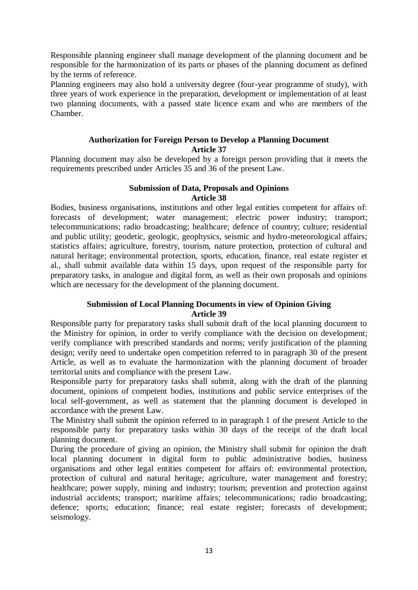Responsible planning engineer shall manage development of the planning document and be responsible for the harmonization of its parts or phases of the planning document as defined by the terms of reference.

Planning engineers may also hold a university degree (four-year programme of study), with three years of work experience in the preparation, development or implementation of at least two planning documents, with a passed state licence exam and who are members of the Chamber.

## **Authorization for Foreign Person to Develop a Planning Document Article 37**

Planning document may also be developed by a foreign person providing that it meets the requirements prescribed under Articles 35 and 36 of the present Law.

#### **Submission of Data, Proposals and Opinions Article 38**

Bodies, business organisations, institutions and other legal entities competent for affairs of: forecasts of development; water management; electric power industry; transport; telecommunications; radio broadcasting; healthcare; defence of country; culture; residential and public utility; geodetic, geologic, geophysics, seismic and hydro-meteorological affairs; statistics affairs; agriculture, forestry, tourism, nature protection, protection of cultural and natural heritage; environmental protection, sports, education, finance, real estate register et al., shall submit available data within 15 days, upon request of the responsible party for preparatory tasks, in analogue and digital form, as well as their own proposals and opinions which are necessary for the development of the planning document.

## **Submission of Local Planning Documents in view of Opinion Giving Article 39**

Responsible party for preparatory tasks shall submit draft of the local planning document to the Ministry for opinion, in order to verify compliance with the decision on development; verify compliance with prescribed standards and norms; verify justification of the planning design; verify need to undertake open competition referred to in paragraph 30 of the present Article, as well as to evaluate the harmonization with the planning document of broader territorial units and compliance with the present Law.

Responsible party for preparatory tasks shall submit, along with the draft of the planning document, opinions of competent bodies, institutions and public service enterprises of the local self-government, as well as statement that the planning document is developed in accordance with the present Law.

The Ministry shall submit the opinion referred to in paragraph 1 of the present Article to the responsible party for preparatory tasks within 30 days of the receipt of the draft local planning document.

During the procedure of giving an opinion, the Ministry shall submit for opinion the draft local planning document in digital form to public administrative bodies, business organisations and other legal entities competent for affairs of: environmental protection, protection of cultural and natural heritage; agriculture, water management and forestry; healthcare; power supply, mining and industry; tourism; prevention and protection against industrial accidents; transport; maritime affairs; telecommunications; radio broadcasting; defence; sports; education; finance; real estate register; forecasts of development; seismology.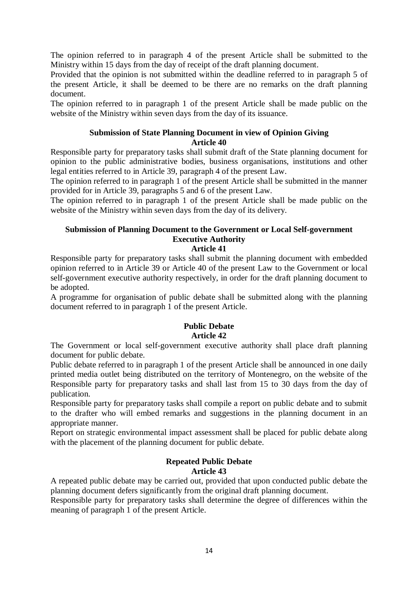The opinion referred to in paragraph 4 of the present Article shall be submitted to the Ministry within 15 days from the day of receipt of the draft planning document.

Provided that the opinion is not submitted within the deadline referred to in paragraph 5 of the present Article, it shall be deemed to be there are no remarks on the draft planning document.

The opinion referred to in paragraph 1 of the present Article shall be made public on the website of the Ministry within seven days from the day of its issuance.

## **Submission of State Planning Document in view of Opinion Giving Article 40**

Responsible party for preparatory tasks shall submit draft of the State planning document for opinion to the public administrative bodies, business organisations, institutions and other legal entities referred to in Article 39, paragraph 4 of the present Law.

The opinion referred to in paragraph 1 of the present Article shall be submitted in the manner provided for in Article 39, paragraphs 5 and 6 of the present Law.

The opinion referred to in paragraph 1 of the present Article shall be made public on the website of the Ministry within seven days from the day of its delivery.

# **Submission of Planning Document to the Government or Local Self-government Executive Authority**

## **Article 41**

Responsible party for preparatory tasks shall submit the planning document with embedded opinion referred to in Article 39 or Article 40 of the present Law to the Government or local self-government executive authority respectively, in order for the draft planning document to be adopted.

A programme for organisation of public debate shall be submitted along with the planning document referred to in paragraph 1 of the present Article.

# **Public Debate Article 42**

The Government or local self-government executive authority shall place draft planning document for public debate.

Public debate referred to in paragraph 1 of the present Article shall be announced in one daily printed media outlet being distributed on the territory of Montenegro, on the website of the Responsible party for preparatory tasks and shall last from 15 to 30 days from the day of publication.

Responsible party for preparatory tasks shall compile a report on public debate and to submit to the drafter who will embed remarks and suggestions in the planning document in an appropriate manner.

Report on strategic environmental impact assessment shall be placed for public debate along with the placement of the planning document for public debate.

## **Repeated Public Debate Article 43**

A repeated public debate may be carried out, provided that upon conducted public debate the planning document defers significantly from the original draft planning document.

Responsible party for preparatory tasks shall determine the degree of differences within the meaning of paragraph 1 of the present Article.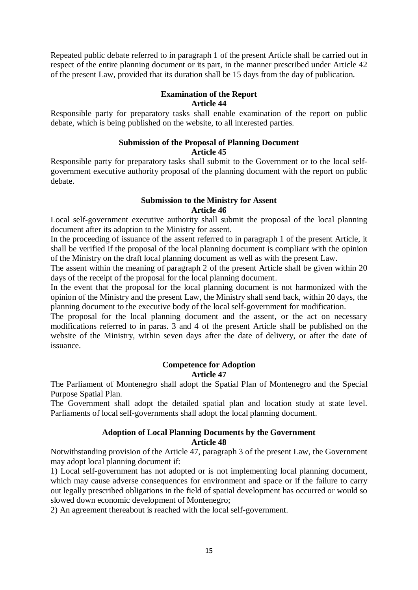Repeated public debate referred to in paragraph 1 of the present Article shall be carried out in respect of the entire planning document or its part, in the manner prescribed under Article 42 of the present Law, provided that its duration shall be 15 days from the day of publication.

# **Examination of the Report**

## **Article 44**

Responsible party for preparatory tasks shall enable examination of the report on public debate, which is being published on the website, to all interested parties.

# **Submission of the Proposal of Planning Document Article 45**

Responsible party for preparatory tasks shall submit to the Government or to the local selfgovernment executive authority proposal of the planning document with the report on public debate.

## **Submission to the Ministry for Assent Article 46**

Local self-government executive authority shall submit the proposal of the local planning document after its adoption to the Ministry for assent.

In the proceeding of issuance of the assent referred to in paragraph 1 of the present Article, it shall be verified if the proposal of the local planning document is compliant with the opinion of the Ministry on the draft local planning document as well as with the present Law.

The assent within the meaning of paragraph 2 of the present Article shall be given within 20 days of the receipt of the proposal for the local planning document.

In the event that the proposal for the local planning document is not harmonized with the opinion of the Ministry and the present Law, the Ministry shall send back, within 20 days, the planning document to the executive body of the local self-government for modification.

The proposal for the local planning document and the assent, or the act on necessary modifications referred to in paras. 3 and 4 of the present Article shall be published on the website of the Ministry, within seven days after the date of delivery, or after the date of issuance.

## **Competence for Adoption Article 47**

The Parliament of Montenegro shall adopt the Spatial Plan of Montenegro and the Special Purpose Spatial Plan.

The Government shall adopt the detailed spatial plan and location study at state level. Parliaments of local self-governments shall adopt the local planning document.

# **Adoption of Local Planning Documents by the Government**

## **Article 48**

Notwithstanding provision of the Article 47, paragraph 3 of the present Law, the Government may adopt local planning document if:

1) Local self-government has not adopted or is not implementing local planning document, which may cause adverse consequences for environment and space or if the failure to carry out legally prescribed obligations in the field of spatial development has occurred or would so slowed down economic development of Montenegro;

2) An agreement thereabout is reached with the local self-government.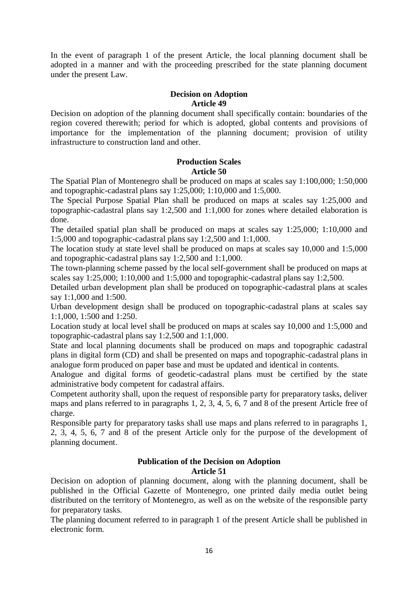In the event of paragraph 1 of the present Article, the local planning document shall be adopted in a manner and with the proceeding prescribed for the state planning document under the present Law.

# **Decision on Adoption**

#### **Article 49**

Decision on adoption of the planning document shall specifically contain: boundaries of the region covered therewith; period for which is adopted, global contents and provisions of importance for the implementation of the planning document; provision of utility infrastructure to construction land and other.

#### **Production Scales Article 50**

The Spatial Plan of Montenegro shall be produced on maps at scales say 1:100,000; 1:50,000 and topographic-cadastral plans say 1:25,000; 1:10,000 and 1:5,000.

The Special Purpose Spatial Plan shall be produced on maps at scales say 1:25,000 and topographic-cadastral plans say 1:2,500 and 1:1,000 for zones where detailed elaboration is done.

The detailed spatial plan shall be produced on maps at scales say 1:25,000; 1:10,000 and 1:5,000 and topographic-cadastral plans say 1:2,500 and 1:1,000.

The location study at state level shall be produced on maps at scales say 10,000 and 1:5,000 and topographic-cadastral plans say 1:2,500 and 1:1,000.

The town-planning scheme passed by the local self-government shall be produced on maps at scales say 1:25,000; 1:10,000 and 1:5,000 and topographic-cadastral plans say 1:2,500.

Detailed urban development plan shall be produced on topographic-cadastral plans at scales say 1:1,000 and 1:500.

Urban development design shall be produced on topographic-cadastral plans at scales say 1:1,000, 1:500 and 1:250.

Location study at local level shall be produced on maps at scales say 10,000 and 1:5,000 and topographic-cadastral plans say 1:2,500 and 1:1,000.

State and local planning documents shall be produced on maps and topographic cadastral plans in digital form (CD) and shall be presented on maps and topographic-cadastral plans in analogue form produced on paper base and must be updated and identical in contents.

Analogue and digital forms of geodetic-cadastral plans must be certified by the state administrative body competent for cadastral affairs.

Competent authority shall, upon the request of responsible party for preparatory tasks, deliver maps and plans referred to in paragraphs 1, 2, 3, 4, 5, 6, 7 and 8 of the present Article free of charge.

Responsible party for preparatory tasks shall use maps and plans referred to in paragraphs 1, 2, 3, 4, 5, 6, 7 and 8 of the present Article only for the purpose of the development of planning document.

#### **Publication of the Decision on Adoption Article 51**

Decision on adoption of planning document, along with the planning document, shall be published in the Official Gazette of Montenegro, one printed daily media outlet being distributed on the territory of Montenegro, as well as on the website of the responsible party for preparatory tasks.

The planning document referred to in paragraph 1 of the present Article shall be published in electronic form.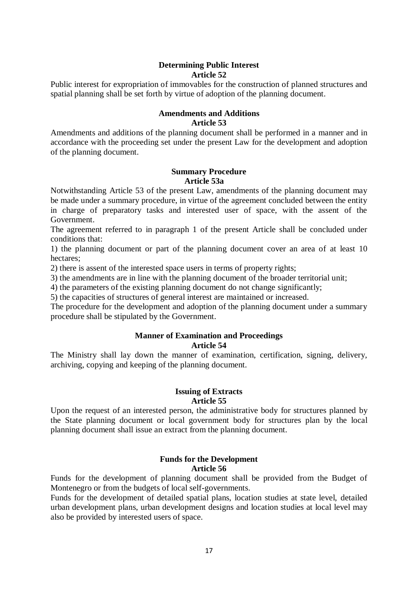## **Determining Public Interest Article 52**

Public interest for expropriation of immovables for the construction of planned structures and spatial planning shall be set forth by virtue of adoption of the planning document.

# **Amendments and Additions**

#### **Article 53**

Amendments and additions of the planning document shall be performed in a manner and in accordance with the proceeding set under the present Law for the development and adoption of the planning document.

#### **Summary Procedure Article 53a**

Notwithstanding Article 53 of the present Law, amendments of the planning document may be made under a summary procedure, in virtue of the agreement concluded between the entity in charge of preparatory tasks and interested user of space, with the assent of the Government.

The agreement referred to in paragraph 1 of the present Article shall be concluded under conditions that:

1) the planning document or part of the planning document cover an area of at least 10 hectares;

2) there is assent of the interested space users in terms of property rights;

3) the amendments are in line with the planning document of the broader territorial unit;

4) the parameters of the existing planning document do not change significantly;

5) the capacities of structures of general interest are maintained or increased.

The procedure for the development and adoption of the planning document under a summary procedure shall be stipulated by the Government.

# **Manner of Examination and Proceedings**

#### **Article 54**

The Ministry shall lay down the manner of examination, certification, signing, delivery, archiving, copying and keeping of the planning document.

#### **Issuing of Extracts Article 55**

Upon the request of an interested person, the administrative body for structures planned by the State planning document or local government body for structures plan by the local planning document shall issue an extract from the planning document.

#### **Funds for the Development Article 56**

Funds for the development of planning document shall be provided from the Budget of Montenegro or from the budgets of local self-governments.

Funds for the development of detailed spatial plans, location studies at state level, detailed urban development plans, urban development designs and location studies at local level may also be provided by interested users of space.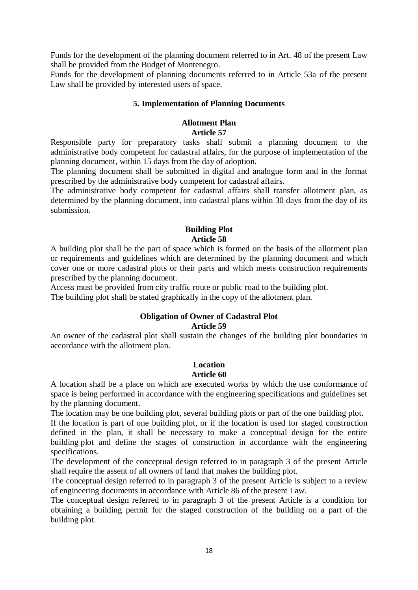Funds for the development of the planning document referred to in Art. 48 of the present Law shall be provided from the Budget of Montenegro.

Funds for the development of planning documents referred to in Article 53a of the present Law shall be provided by interested users of space.

## **5. Implementation of Planning Documents**

## **Allotment Plan Article 57**

Responsible party for preparatory tasks shall submit a planning document to the administrative body competent for cadastral affairs, for the purpose of implementation of the planning document, within 15 days from the day of adoption.

The planning document shall be submitted in digital and analogue form and in the format prescribed by the administrative body competent for cadastral affairs.

The administrative body competent for cadastral affairs shall transfer allotment plan, as determined by the planning document, into cadastral plans within 30 days from the day of its submission.

#### **Building Plot Article 58**

A building plot shall be the part of space which is formed on the basis of the allotment plan or requirements and guidelines which are determined by the planning document and which cover one or more cadastral plots or their parts and which meets construction requirements prescribed by the planning document.

Access must be provided from city traffic route or public road to the building plot.

The building plot shall be stated graphically in the copy of the allotment plan.

#### **Obligation of Owner of Cadastral Plot Article 59**

An owner of the cadastral plot shall sustain the changes of the building plot boundaries in accordance with the allotment plan.

# **Location**

## **Article 60**

A location shall be a place on which are executed works by which the use conformance of space is being performed in accordance with the engineering specifications and guidelines set by the planning document.

The location may be one building plot, several building plots or part of the one building plot.

If the location is part of one building plot, or if the location is used for staged construction defined in the plan, it shall be necessary to make a conceptual design for the entire building plot and define the stages of construction in accordance with the engineering specifications.

The development of the conceptual design referred to in paragraph 3 of the present Article shall require the assent of all owners of land that makes the building plot.

The conceptual design referred to in paragraph 3 of the present Article is subject to a review of engineering documents in accordance with Article 86 of the present Law.

The conceptual design referred to in paragraph 3 of the present Article is a condition for obtaining a building permit for the staged construction of the building on a part of the building plot.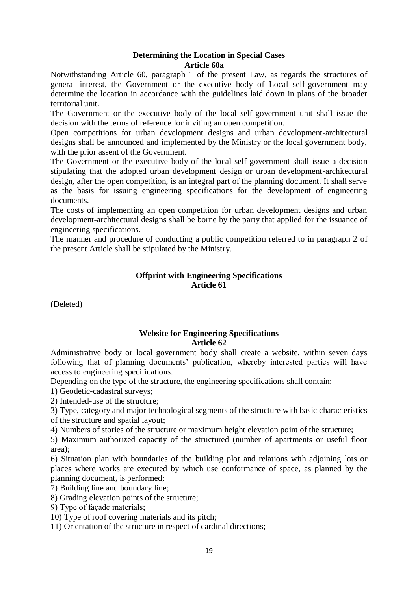## **Determining the Location in Special Cases Article 60a**

Notwithstanding Article 60, paragraph 1 of the present Law, as regards the structures of general interest, the Government or the executive body of Local self-government may determine the location in accordance with the guidelines laid down in plans of the broader territorial unit.

The Government or the executive body of the local self-government unit shall issue the decision with the terms of reference for inviting an open competition.

Open competitions for urban development designs and urban development-architectural designs shall be announced and implemented by the Ministry or the local government body, with the prior assent of the Government.

The Government or the executive body of the local self-government shall issue a decision stipulating that the adopted urban development design or urban development-architectural design, after the open competition, is an integral part of the planning document. It shall serve as the basis for issuing engineering specifications for the development of engineering documents.

The costs of implementing an open competition for urban development designs and urban development-architectural designs shall be borne by the party that applied for the issuance of engineering specifications.

The manner and procedure of conducting a public competition referred to in paragraph 2 of the present Article shall be stipulated by the Ministry.

## **Offprint with Engineering Specifications Article 61**

(Deleted)

## **Website for Engineering Specifications Article 62**

Administrative body or local government body shall create a website, within seven days following that of planning documents' publication, whereby interested parties will have access to engineering specifications.

Depending on the type of the structure, the engineering specifications shall contain:

1) Geodetic-cadastral surveys;

2) Intended-use of the structure;

3) Type, category and major technological segments of the structure with basic characteristics of the structure and spatial layout;

4) Numbers of stories of the structure or maximum height elevation point of the structure;

5) Maximum authorized capacity of the structured (number of apartments or useful floor area);

6) Situation plan with boundaries of the building plot and relations with adjoining lots or places where works are executed by which use conformance of space, as planned by the planning document, is performed;

7) Building line and boundary line;

8) Grading elevation points of the structure;

9) Type of façade materials;

10) Type of roof covering materials and its pitch;

11) Orientation of the structure in respect of cardinal directions;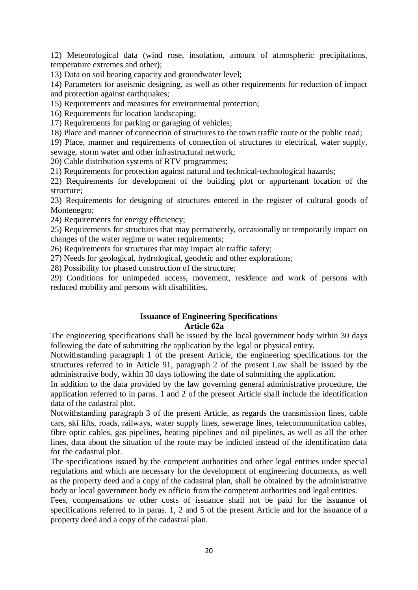12) Meteorological data (wind rose, insolation, amount of atmospheric precipitations, temperature extremes and other);

13) Data on soil bearing capacity and groundwater level;

14) Parameters for aseismic designing, as well as other requirements for reduction of impact and protection against earthquakes;

15) Requirements and measures for environmental protection;

16) Requirements for location landscaping;

17) Requirements for parking or garaging of vehicles;

18) Place and manner of connection of structures to the town traffic route or the public road;

19) Place, manner and requirements of connection of structures to electrical, water supply, sewage, storm water and other infrastructural network;

20) Cable distribution systems of RTV programmes;

21) Requirements for protection against natural and technical-technological hazards;

22) Requirements for development of the building plot or appurtenant location of the structure;

23) Requirements for designing of structures entered in the register of cultural goods of Montenegro;

24) Requirements for energy efficiency;

25) Requirements for structures that may permanently, occasionally or temporarily impact on changes of the water regime or water requirements;

26) Requirements for structures that may impact air traffic safety;

27) Needs for geological, hydrological, geodetic and other explorations;

28) Possibility for phased construction of the structure;

29) Conditions for unimpeded access, movement, residence and work of persons with reduced mobility and persons with disabilities.

## **Issuance of Engineering Specifications Article 62a**

The engineering specifications shall be issued by the local government body within 30 days following the date of submitting the application by the legal or physical entity.

Notwithstanding paragraph 1 of the present Article, the engineering specifications for the structures referred to in Article 91, paragraph 2 of the present Law shall be issued by the administrative body, within 30 days following the date of submitting the application.

In addition to the data provided by the law governing general administrative procedure, the application referred to in paras. 1 and 2 of the present Article shall include the identification data of the cadastral plot.

Notwithstanding paragraph 3 of the present Article, as regards the transmission lines, cable cars, ski lifts, roads, railways, water supply lines, sewerage lines, telecommunication cables, fibre optic cables, gas pipelines, heating pipelines and oil pipelines, as well as all the other lines, data about the situation of the route may be indicted instead of the identification data for the cadastral plot.

The specifications issued by the competent authorities and other legal entities under special regulations and which are necessary for the development of engineering documents, as well as the property deed and a copy of the cadastral plan, shall be obtained by the administrative body or local government body ex officio from the competent authorities and legal entities.

Fees, compensations or other costs of issuance shall not be paid for the issuance of specifications referred to in paras. 1, 2 and 5 of the present Article and for the issuance of a property deed and a copy of the cadastral plan.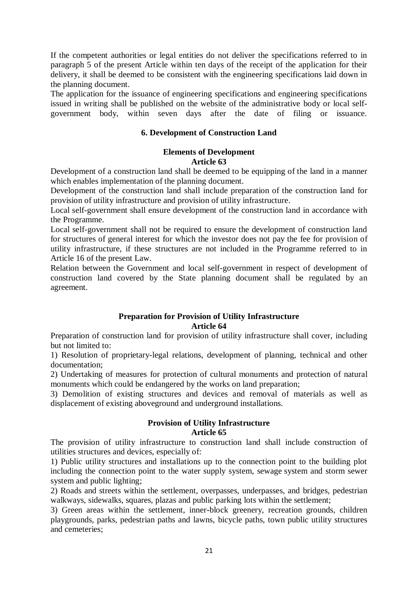If the competent authorities or legal entities do not deliver the specifications referred to in paragraph 5 of the present Article within ten days of the receipt of the application for their delivery, it shall be deemed to be consistent with the engineering specifications laid down in the planning document.

The application for the issuance of engineering specifications and engineering specifications issued in writing shall be published on the website of the administrative body or local selfgovernment body, within seven days after the date of filing or issuance.

## **6. Development of Construction Land**

## **Elements of Development Article 63**

Development of a construction land shall be deemed to be equipping of the land in a manner which enables implementation of the planning document.

Development of the construction land shall include preparation of the construction land for provision of utility infrastructure and provision of utility infrastructure.

Local self-government shall ensure development of the construction land in accordance with the Programme.

Local self-government shall not be required to ensure the development of construction land for structures of general interest for which the investor does not pay the fee for provision of utility infrastructure, if these structures are not included in the Programme referred to in Article 16 of the present Law.

Relation between the Government and local self-government in respect of development of construction land covered by the State planning document shall be regulated by an agreement.

## **Preparation for Provision of Utility Infrastructure Article 64**

Preparation of construction land for provision of utility infrastructure shall cover, including but not limited to:

1) Resolution of proprietary-legal relations, development of planning, technical and other documentation;

2) Undertaking of measures for protection of cultural monuments and protection of natural monuments which could be endangered by the works on land preparation;

3) Demolition of existing structures and devices and removal of materials as well as displacement of existing aboveground and underground installations.

# **Provision of Utility Infrastructure Article 65**

The provision of utility infrastructure to construction land shall include construction of utilities structures and devices, especially of:

1) Public utility structures and installations up to the connection point to the building plot including the connection point to the water supply system, sewage system and storm sewer system and public lighting;

2) Roads and streets within the settlement, overpasses, underpasses, and bridges, pedestrian walkways, sidewalks, squares, plazas and public parking lots within the settlement;

3) Green areas within the settlement, inner**-**block greenery, recreation grounds, children playgrounds, parks, pedestrian paths and lawns, bicycle paths, town public utility structures and cemeteries;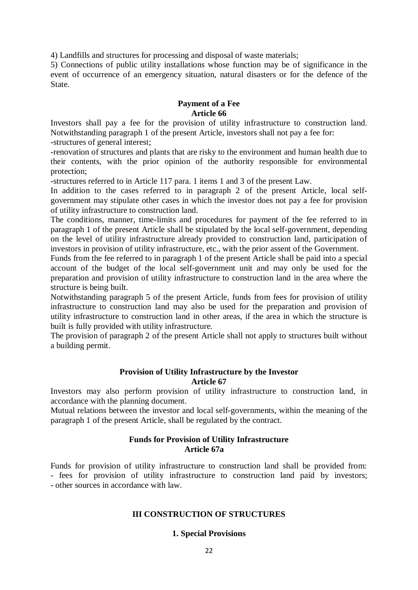4) Landfills and structures for processing and disposal of waste materials;

5) Connections of public utility installations whose function may be of significance in the event of occurrence of an emergency situation, natural disasters or for the defence of the State.

## **Payment of a Fee Article 66**

Investors shall pay a fee for the provision of utility infrastructure to construction land. Notwithstanding paragraph 1 of the present Article, investors shall not pay a fee for: -structures of general interest;

-renovation of structures and plants that are risky to the environment and human health due to their contents, with the prior opinion of the authority responsible for environmental protection;

-structures referred to in Article 117 para. 1 items 1 and 3 of the present Law.

In addition to the cases referred to in paragraph 2 of the present Article, local selfgovernment may stipulate other cases in which the investor does not pay a fee for provision of utility infrastructure to construction land.

The conditions, manner, time-limits and procedures for payment of the fee referred to in paragraph 1 of the present Article shall be stipulated by the local self-government, depending on the level of utility infrastructure already provided to construction land, participation of investors in provision of utility infrastructure, etc., with the prior assent of the Government.

Funds from the fee referred to in paragraph 1 of the present Article shall be paid into a special account of the budget of the local self-government unit and may only be used for the preparation and provision of utility infrastructure to construction land in the area where the structure is being built.

Notwithstanding paragraph 5 of the present Article, funds from fees for provision of utility infrastructure to construction land may also be used for the preparation and provision of utility infrastructure to construction land in other areas, if the area in which the structure is built is fully provided with utility infrastructure.

The provision of paragraph 2 of the present Article shall not apply to structures built without a building permit.

## **Provision of Utility Infrastructure by the Investor Article 67**

Investors may also perform provision of utility infrastructure to construction land, in accordance with the planning document.

Mutual relations between the investor and local self-governments, within the meaning of the paragraph 1 of the present Article, shall be regulated by the contract.

#### **Funds for Provision of Utility Infrastructure Article 67a**

Funds for provision of utility infrastructure to construction land shall be provided from: - fees for provision of utility infrastructure to construction land paid by investors; - other sources in accordance with law.

#### **III CONSTRUCTION OF STRUCTURES**

#### **1. Special Provisions**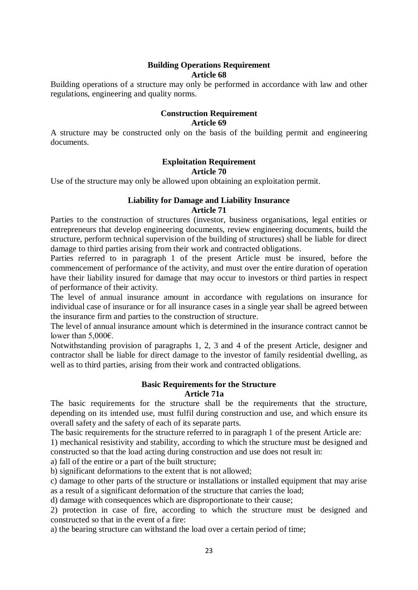# **Building Operations Requirement Article 68**

Building operations of a structure may only be performed in accordance with law and other regulations, engineering and quality norms.

#### **Construction Requirement Article 69**

A structure may be constructed only on the basis of the building permit and engineering documents.

# **Exploitation Requirement**

## **Article 70**

Use of the structure may only be allowed upon obtaining an exploitation permit.

## **Liability for Damage and Liability Insurance Article 71**

Parties to the construction of structures (investor, business organisations, legal entities or entrepreneurs that develop engineering documents, review engineering documents, build the structure, perform technical supervision of the building of structures) shall be liable for direct damage to third parties arising from their work and contracted obligations.

Parties referred to in paragraph 1 of the present Article must be insured, before the commencement of performance of the activity, and must over the entire duration of operation have their liability insured for damage that may occur to investors or third parties in respect of performance of their activity.

The level of annual insurance amount in accordance with regulations on insurance for individual case of insurance or for all insurance cases in a single year shall be agreed between the insurance firm and parties to the construction of structure.

The level of annual insurance amount which is determined in the insurance contract cannot be lower than 5,000 $\varepsilon$ .

Notwithstanding provision of paragraphs 1, 2, 3 and 4 of the present Article, designer and contractor shall be liable for direct damage to the investor of family residential dwelling, as well as to third parties, arising from their work and contracted obligations.

#### **Basic Requirements for the Structure Article 71a**

The basic requirements for the structure shall be the requirements that the structure, depending on its intended use, must fulfil during construction and use, and which ensure its overall safety and the safety of each of its separate parts.

The basic requirements for the structure referred to in paragraph 1 of the present Article are:

1) mechanical resistivity and stability, according to which the structure must be designed and constructed so that the load acting during construction and use does not result in:

a) fall of the entire or a part of the built structure;

b) significant deformations to the extent that is not allowed;

c) damage to other parts of the structure or installations or installed equipment that may arise as a result of a significant deformation of the structure that carries the load;

d) damage with consequences which are disproportionate to their cause;

2) protection in case of fire, according to which the structure must be designed and constructed so that in the event of a fire:

a) the bearing structure can withstand the load over a certain period of time;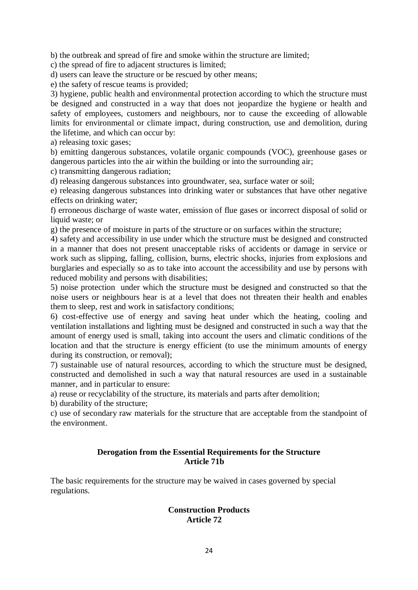b) the outbreak and spread of fire and smoke within the structure are limited;

c) the spread of fire to adjacent structures is limited;

d) users can leave the structure or be rescued by other means;

e) the safety of rescue teams is provided;

3) hygiene, public health and environmental protection according to which the structure must be designed and constructed in a way that does not jeopardize the hygiene or health and safety of employees, customers and neighbours, nor to cause the exceeding of allowable limits for environmental or climate impact, during construction, use and demolition, during the lifetime, and which can occur by:

a) releasing toxic gases;

b) emitting dangerous substances, volatile organic compounds (VOC), greenhouse gases or dangerous particles into the air within the building or into the surrounding air;

c) transmitting dangerous radiation;

d) releasing dangerous substances into groundwater, sea, surface water or soil;

e) releasing dangerous substances into drinking water or substances that have other negative effects on drinking water;

f) erroneous discharge of waste water, emission of flue gases or incorrect disposal of solid or liquid waste; or

g) the presence of moisture in parts of the structure or on surfaces within the structure;

4) safety and accessibility in use under which the structure must be designed and constructed in a manner that does not present unacceptable risks of accidents or damage in service or work such as slipping, falling, collision, burns, electric shocks, injuries from explosions and burglaries and especially so as to take into account the accessibility and use by persons with reduced mobility and persons with disabilities;

5) noise protection under which the structure must be designed and constructed so that the noise users or neighbours hear is at a level that does not threaten their health and enables them to sleep, rest and work in satisfactory conditions;

6) cost-effective use of energy and saving heat under which the heating, cooling and ventilation installations and lighting must be designed and constructed in such a way that the amount of energy used is small, taking into account the users and climatic conditions of the location and that the structure is energy efficient (to use the minimum amounts of energy during its construction, or removal);

7) sustainable use of natural resources, according to which the structure must be designed, constructed and demolished in such a way that natural resources are used in a sustainable manner, and in particular to ensure:

a) reuse or recyclability of the structure, its materials and parts after demolition;

b) durability of the structure;

c) use of secondary raw materials for the structure that are acceptable from the standpoint of the environment.

## **Derogation from the Essential Requirements for the Structure Article 71b**

The basic requirements for the structure may be waived in cases governed by special regulations.

## **Construction Products Article 72**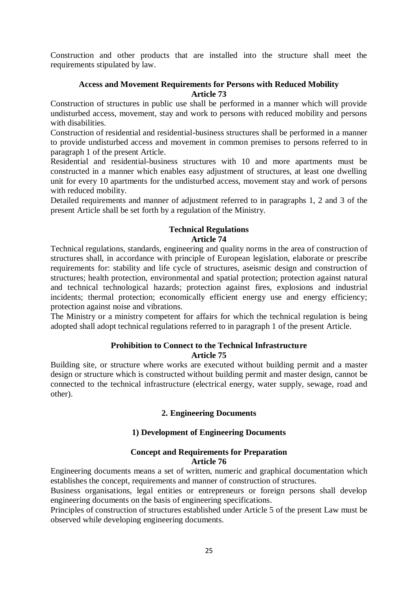Construction and other products that are installed into the structure shall meet the requirements stipulated by law.

## **Access and Movement Requirements for Persons with Reduced Mobility Article 73**

Construction of structures in public use shall be performed in a manner which will provide undisturbed access, movement, stay and work to persons with reduced mobility and persons with disabilities.

Construction of residential and residential-business structures shall be performed in a manner to provide undisturbed access and movement in common premises to persons referred to in paragraph 1 of the present Article.

Residential and residential-business structures with 10 and more apartments must be constructed in a manner which enables easy adjustment of structures, at least one dwelling unit for every 10 apartments for the undisturbed access, movement stay and work of persons with reduced mobility.

Detailed requirements and manner of adjustment referred to in paragraphs 1, 2 and 3 of the present Article shall be set forth by a regulation of the Ministry.

## **Technical Regulations Article 74**

Technical regulations, standards, engineering and quality norms in the area of construction of structures shall, in accordance with principle of European legislation, elaborate or prescribe requirements for: stability and life cycle of structures, aseismic design and construction of structures; health protection, environmental and spatial protection; protection against natural and technical technological hazards; protection against fires, explosions and industrial incidents; thermal protection; economically efficient energy use and energy efficiency; protection against noise and vibrations.

The Ministry or a ministry competent for affairs for which the technical regulation is being adopted shall adopt technical regulations referred to in paragraph 1 of the present Article.

## **Prohibition to Connect to the Technical Infrastructure Article 75**

Building site, or structure where works are executed without building permit and a master design or structure which is constructed without building permit and master design, cannot be connected to the technical infrastructure (electrical energy, water supply, sewage, road and other).

## **2. Engineering Documents**

## **1) Development of Engineering Documents**

#### **Concept and Requirements for Preparation Article 76**

Engineering documents means a set of written, numeric and graphical documentation which establishes the concept, requirements and manner of construction of structures.

Business organisations, legal entities or entrepreneurs or foreign persons shall develop engineering documents on the basis of engineering specifications.

Principles of construction of structures established under Article 5 of the present Law must be observed while developing engineering documents.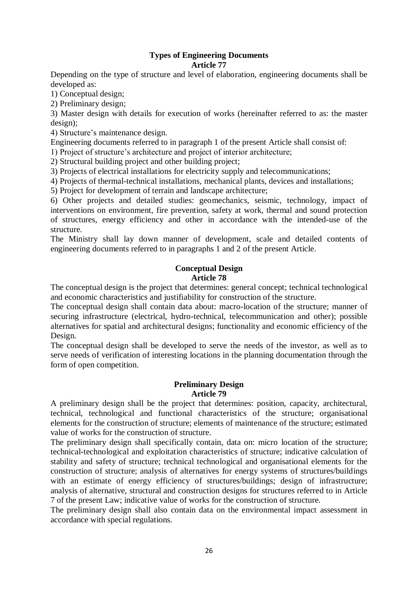## **Types of Engineering Documents Article 77**

Depending on the type of structure and level of elaboration, engineering documents shall be developed as:

1) Conceptual design;

2) Preliminary design;

3) Master design with details for execution of works (hereinafter referred to as: the master design);

4) Structure's maintenance design.

Engineering documents referred to in paragraph 1 of the present Article shall consist of:

1) Project of structure's architecture and project of interior architecture;

2) Structural building project and other building project;

3) Projects of electrical installations for electricity supply and telecommunications;

4) Projects of thermal-technical installations, mechanical plants, devices and installations;

5) Project for development of terrain and landscape architecture;

6) Other projects and detailed studies: geomechanics, seismic, technology, impact of interventions on environment, fire prevention, safety at work, thermal and sound protection of structures, energy efficiency and other in accordance with the intended-use of the structure.

The Ministry shall lay down manner of development, scale and detailed contents of engineering documents referred to in paragraphs 1 and 2 of the present Article.

#### **Conceptual Design Article 78**

The conceptual design is the project that determines: general concept; technical technological and economic characteristics and justifiability for construction of the structure.

The conceptual design shall contain data about: macro-location of the structure; manner of securing infrastructure (electrical, hydro-technical, telecommunication and other); possible alternatives for spatial and architectural designs; functionality and economic efficiency of the Design.

The conceptual design shall be developed to serve the needs of the investor, as well as to serve needs of verification of interesting locations in the planning documentation through the form of open competition.

#### **Preliminary Design Article 79**

A preliminary design shall be the project that determines: position, capacity, architectural, technical, technological and functional characteristics of the structure; organisational elements for the construction of structure; elements of maintenance of the structure; estimated value of works for the construction of structure.

The preliminary design shall specifically contain, data on: micro location of the structure; technical-technological and exploitation characteristics of structure; indicative calculation of stability and safety of structure; technical technological and organisational elements for the construction of structure; analysis of alternatives for energy systems of structures/buildings with an estimate of energy efficiency of structures/buildings; design of infrastructure; analysis of alternative, structural and construction designs for structures referred to in Article 7 of the present Law; indicative value of works for the construction of structure.

The preliminary design shall also contain data on the environmental impact assessment in accordance with special regulations.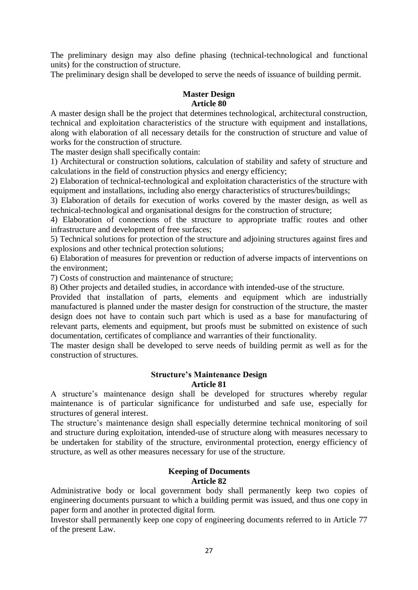The preliminary design may also define phasing (technical-technological and functional units) for the construction of structure.

The preliminary design shall be developed to serve the needs of issuance of building permit.

#### **Master Design Article 80**

A master design shall be the project that determines technological, architectural construction, technical and exploitation characteristics of the structure with equipment and installations, along with elaboration of all necessary details for the construction of structure and value of works for the construction of structure.

The master design shall specifically contain:

1) Architectural or construction solutions, calculation of stability and safety of structure and calculations in the field of construction physics and energy efficiency;

2) Elaboration of technical-technological and exploitation characteristics of the structure with equipment and installations, including also energy characteristics of structures/buildings;

3) Elaboration of details for execution of works covered by the master design, as well as technical-technological and organisational designs for the construction of structure;

4) Elaboration of connections of the structure to appropriate traffic routes and other infrastructure and development of free surfaces;

5) Technical solutions for protection of the structure and adjoining structures against fires and explosions and other technical protection solutions;

6) Elaboration of measures for prevention or reduction of adverse impacts of interventions on the environment;

7) Costs of construction and maintenance of structure;

8) Other projects and detailed studies, in accordance with intended-use of the structure.

Provided that installation of parts, elements and equipment which are industrially manufactured is planned under the master design for construction of the structure, the master design does not have to contain such part which is used as a base for manufacturing of relevant parts, elements and equipment, but proofs must be submitted on existence of such documentation, certificates of compliance and warranties of their functionality.

The master design shall be developed to serve needs of building permit as well as for the construction of structures.

#### **Structure's Maintenance Design Article 81**

A structure's maintenance design shall be developed for structures whereby regular maintenance is of particular significance for undisturbed and safe use, especially for structures of general interest.

The structure's maintenance design shall especially determine technical monitoring of soil and structure during exploitation, intended-use of structure along with measures necessary to be undertaken for stability of the structure, environmental protection, energy efficiency of structure, as well as other measures necessary for use of the structure.

# **Keeping of Documents Article 82**

Administrative body or local government body shall permanently keep two copies of engineering documents pursuant to which a building permit was issued, and thus one copy in paper form and another in protected digital form.

Investor shall permanently keep one copy of engineering documents referred to in Article 77 of the present Law.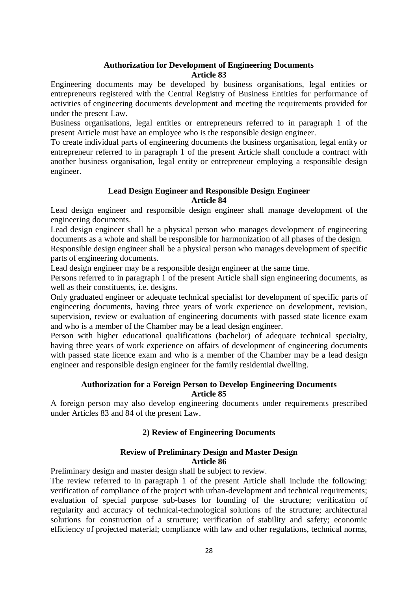## **Authorization for Development of Engineering Documents Article 83**

Engineering documents may be developed by business organisations, legal entities or entrepreneurs registered with the Central Registry of Business Entities for performance of activities of engineering documents development and meeting the requirements provided for under the present Law.

Business organisations, legal entities or entrepreneurs referred to in paragraph 1 of the present Article must have an employee who is the responsible design engineer.

To create individual parts of engineering documents the business organisation, legal entity or entrepreneur referred to in paragraph 1 of the present Article shall conclude a contract with another business organisation, legal entity or entrepreneur employing a responsible design engineer.

## **Lead Design Engineer and Responsible Design Engineer Article 84**

Lead design engineer and responsible design engineer shall manage development of the engineering documents.

Lead design engineer shall be a physical person who manages development of engineering documents as a whole and shall be responsible for harmonization of all phases of the design.

Responsible design engineer shall be a physical person who manages development of specific parts of engineering documents.

Lead design engineer may be a responsible design engineer at the same time.

Persons referred to in paragraph 1 of the present Article shall sign engineering documents, as well as their constituents, i.e. designs.

Only graduated engineer or adequate technical specialist for development of specific parts of engineering documents, having three years of work experience on development, revision, supervision, review or evaluation of engineering documents with passed state licence exam and who is a member of the Chamber may be a lead design engineer.

Person with higher educational qualifications (bachelor) of adequate technical specialty, having three years of work experience on affairs of development of engineering documents with passed state licence exam and who is a member of the Chamber may be a lead design engineer and responsible design engineer for the family residential dwelling.

## **Authorization for a Foreign Person to Develop Engineering Documents Article 85**

A foreign person may also develop engineering documents under requirements prescribed under Articles 83 and 84 of the present Law.

# **2) Review of Engineering Documents**

## **Review of Preliminary Design and Master Design Article 86**

Preliminary design and master design shall be subject to review.

The review referred to in paragraph 1 of the present Article shall include the following: verification of compliance of the project with urban-development and technical requirements; evaluation of special purpose sub-bases for founding of the structure; verification of regularity and accuracy of technical-technological solutions of the structure; architectural solutions for construction of a structure; verification of stability and safety; economic efficiency of projected material; compliance with law and other regulations, technical norms,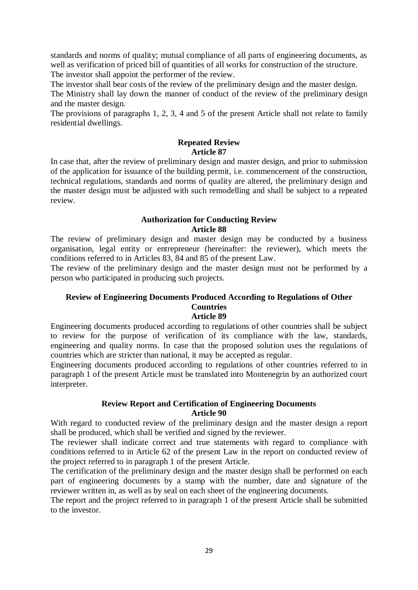standards and norms of quality; mutual compliance of all parts of engineering documents, as well as verification of priced bill of quantities of all works for construction of the structure. The investor shall appoint the performer of the review.

The investor shall bear costs of the review of the preliminary design and the master design. The Ministry shall lay down the manner of conduct of the review of the preliminary design and the master design.

The provisions of paragraphs 1, 2, 3, 4 and 5 of the present Article shall not relate to family residential dwellings.

# **Repeated Review Article 87**

In case that, after the review of preliminary design and master design, and prior to submission of the application for issuance of the building permit, i.e. commencement of the construction, technical regulations, standards and norms of quality are altered, the preliminary design and the master design must be adjusted with such remodelling and shall be subject to a repeated review.

## **Authorization for Conducting Review Article 88**

The review of preliminary design and master design may be conducted by a business organisation, legal entity or entrepreneur (hereinafter: the reviewer), which meets the conditions referred to in Articles 83, 84 and 85 of the present Law.

The review of the preliminary design and the master design must not be performed by a person who participated in producing such projects.

#### **Review of Engineering Documents Produced According to Regulations of Other Countries Article 89**

Engineering documents produced according to regulations of other countries shall be subject to review for the purpose of verification of its compliance with the law, standards, engineering and quality norms. In case that the proposed solution uses the regulations of countries which are stricter than national, it may be accepted as regular.

Engineering documents produced according to regulations of other countries referred to in paragraph 1 of the present Article must be translated into Montenegrin by an authorized court interpreter.

## **Review Report and Certification of Engineering Documents Article 90**

With regard to conducted review of the preliminary design and the master design a report shall be produced, which shall be verified and signed by the reviewer.

The reviewer shall indicate correct and true statements with regard to compliance with conditions referred to in Article 62 of the present Law in the report on conducted review of the project referred to in paragraph 1 of the present Article.

The certification of the preliminary design and the master design shall be performed on each part of engineering documents by a stamp with the number, date and signature of the reviewer written in, as well as by seal on each sheet of the engineering documents.

The report and the project referred to in paragraph 1 of the present Article shall be submitted to the investor.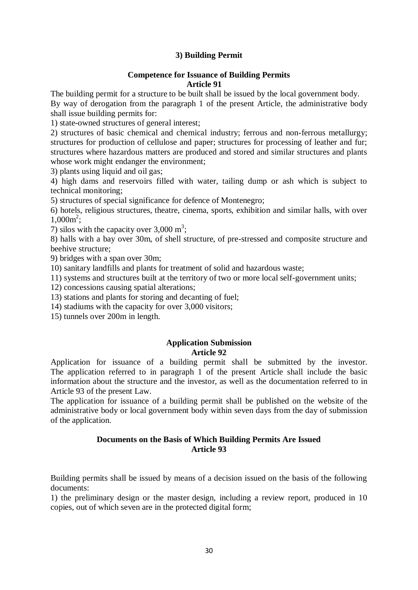## **3) Building Permit**

#### **Competence for Issuance of Building Permits Article 91**

The building permit for a structure to be built shall be issued by the local government body. By way of derogation from the paragraph 1 of the present Article, the administrative body shall issue building permits for:

1) state-owned structures of general interest;

2) structures of basic chemical and chemical industry; ferrous and non-ferrous metallurgy; structures for production of cellulose and paper; structures for processing of leather and fur; structures where hazardous matters are produced and stored and similar structures and plants whose work might endanger the environment;

3) plants using liquid and oil gas;

4) high dams and reservoirs filled with water, tailing dump or ash which is subject to technical monitoring;

5) structures of special significance for defence of Montenegro;

6) hotels, religious structures, theatre, cinema, sports, exhibition and similar halls, with over  $1,000m^2$ ;

7) silos with the capacity over  $3,000 \text{ m}^3$ ;

8) halls with a bay over 30m, of shell structure, of pre-stressed and composite structure and beehive structure;

9) bridges with a span over 30m;

10) sanitary landfills and plants for treatment of solid and hazardous waste;

11) systems and structures built at the territory of two or more local self-government units;

12) concessions causing spatial alterations;

13) stations and plants for storing and decanting of fuel;

14) stadiums with the capacity for over 3,000 visitors;

15) tunnels over 200m in length.

#### **Application Submission Article 92**

Application for issuance of a building permit shall be submitted by the investor. The application referred to in paragraph 1 of the present Article shall include the basic information about the structure and the investor, as well as the documentation referred to in Article 93 of the present Law.

The application for issuance of a building permit shall be published on the website of the administrative body or local government body within seven days from the day of submission of the application.

## **Documents on the Basis of Which Building Permits Are Issued Article 93**

Building permits shall be issued by means of a decision issued on the basis of the following documents:

1) the preliminary design or the master design, including a review report, produced in 10 copies, out of which seven are in the protected digital form;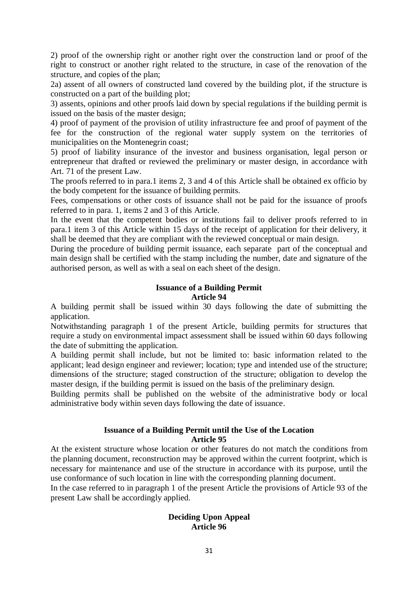2) proof of the ownership right or another right over the construction land or proof of the right to construct or another right related to the structure, in case of the renovation of the structure, and copies of the plan;

2a) assent of all owners of constructed land covered by the building plot, if the structure is constructed on a part of the building plot;

3) assents, opinions and other proofs laid down by special regulations if the building permit is issued on the basis of the master design;

4) proof of payment of the provision of utility infrastructure fee and proof of payment of the fee for the construction of the regional water supply system on the territories of municipalities on the Montenegrin coast;

5) proof of liability insurance of the investor and business organisation, legal person or entrepreneur that drafted or reviewed the preliminary or master design, in accordance with Art. 71 of the present Law.

The proofs referred to in para.1 items 2, 3 and 4 of this Article shall be obtained ex officio by the body competent for the issuance of building permits.

Fees, compensations or other costs of issuance shall not be paid for the issuance of proofs referred to in para. 1, items 2 and 3 of this Article.

In the event that the competent bodies or institutions fail to deliver proofs referred to in para.1 item 3 of this Article within 15 days of the receipt of application for their delivery, it shall be deemed that they are compliant with the reviewed conceptual or main design.

During the procedure of building permit issuance, each separate part of the conceptual and main design shall be certified with the stamp including the number, date and signature of the authorised person, as well as with a seal on each sheet of the design.

## **Issuance of a Building Permit Article 94**

A building permit shall be issued within 30 days following the date of submitting the application.

Notwithstanding paragraph 1 of the present Article, building permits for structures that require a study on environmental impact assessment shall be issued within 60 days following the date of submitting the application.

A building permit shall include, but not be limited to: basic information related to the applicant; lead design engineer and reviewer; location; type and intended use of the structure; dimensions of the structure; staged construction of the structure; obligation to develop the master design, if the building permit is issued on the basis of the preliminary design.

Building permits shall be published on the website of the administrative body or local administrative body within seven days following the date of issuance.

#### **Issuance of a Building Permit until the Use of the Location Article 95**

At the existent structure whose location or other features do not match the conditions from the planning document, reconstruction may be approved within the current footprint, which is necessary for maintenance and use of the structure in accordance with its purpose, until the use conformance of such location in line with the corresponding planning document.

In the case referred to in paragraph 1 of the present Article the provisions of Article 93 of the present Law shall be accordingly applied.

## **Deciding Upon Appeal Article 96**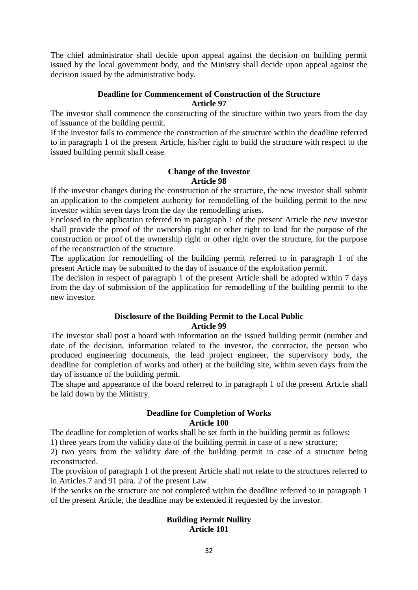The chief administrator shall decide upon appeal against the decision on building permit issued by the local government body, and the Ministry shall decide upon appeal against the decision issued by the administrative body.

## **Deadline for Commencement of Construction of the Structure Article 97**

The investor shall commence the constructing of the structure within two years from the day of issuance of the building permit.

If the investor fails to commence the construction of the structure within the deadline referred to in paragraph 1 of the present Article, his/her right to build the structure with respect to the issued building permit shall cease.

#### **Change of the Investor Article 98**

If the investor changes during the construction of the structure, the new investor shall submit an application to the competent authority for remodelling of the building permit to the new investor within seven days from the day the remodelling arises.

Enclosed to the application referred to in paragraph 1 of the present Article the new investor shall provide the proof of the ownership right or other right to land for the purpose of the construction or proof of the ownership right or other right over the structure, for the purpose of the reconstruction of the structure.

The application for remodelling of the building permit referred to in paragraph 1 of the present Article may be submitted to the day of issuance of the exploitation permit.

The decision in respect of paragraph 1 of the present Article shall be adopted within 7 days from the day of submission of the application for remodelling of the building permit to the new investor.

## **Disclosure of the Building Permit to the Local Public Article 99**

The investor shall post a board with information on the issued building permit (number and date of the decision, information related to the investor, the contractor, the person who produced engineering documents, the lead project engineer, the supervisory body, the deadline for completion of works and other) at the building site, within seven days from the day of issuance of the building permit.

The shape and appearance of the board referred to in paragraph 1 of the present Article shall be laid down by the Ministry.

## **Deadline for Completion of Works Article 100**

The deadline for completion of works shall be set forth in the building permit as follows:

1) three years from the validity date of the building permit in case of a new structure;

2) two years from the validity date of the building permit in case of a structure being reconstructed.

The provision of paragraph 1 of the present Article shall not relate to the structures referred to in Articles 7 and 91 para. 2 of the present Law.

If the works on the structure are not completed within the deadline referred to in paragraph 1 of the present Article, the deadline may be extended if requested by the investor.

## **Building Permit Nullity Article 101**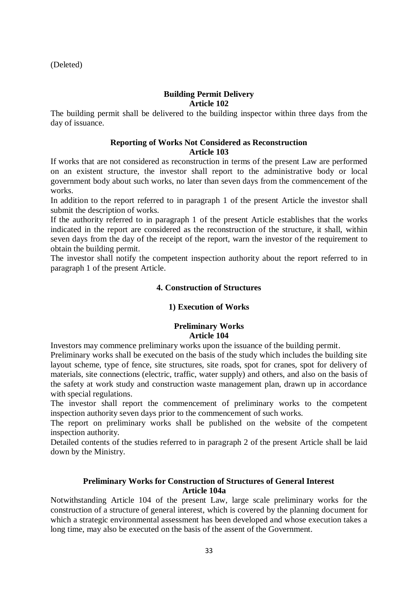(Deleted)

## **Building Permit Delivery Article 102**

The building permit shall be delivered to the building inspector within three days from the day of issuance.

## **Reporting of Works Not Considered as Reconstruction Article 103**

If works that are not considered as reconstruction in terms of the present Law are performed on an existent structure, the investor shall report to the administrative body or local government body about such works, no later than seven days from the commencement of the works.

In addition to the report referred to in paragraph 1 of the present Article the investor shall submit the description of works.

If the authority referred to in paragraph 1 of the present Article establishes that the works indicated in the report are considered as the reconstruction of the structure, it shall, within seven days from the day of the receipt of the report, warn the investor of the requirement to obtain the building permit.

The investor shall notify the competent inspection authority about the report referred to in paragraph 1 of the present Article.

## **4. Construction of Structures**

## **1) Execution of Works**

## **Preliminary Works Article 104**

Investors may commence preliminary works upon the issuance of the building permit.

Preliminary works shall be executed on the basis of the study which includes the building site layout scheme, type of fence, site structures, site roads, spot for cranes, spot for delivery of materials, site connections (electric, traffic, water supply) and others, and also on the basis of the safety at work study and construction waste management plan, drawn up in accordance with special regulations.

The investor shall report the commencement of preliminary works to the competent inspection authority seven days prior to the commencement of such works.

The report on preliminary works shall be published on the website of the competent inspection authority.

Detailed contents of the studies referred to in paragraph 2 of the present Article shall be laid down by the Ministry.

## **Preliminary Works for Construction of Structures of General Interest Article 104a**

Notwithstanding Article 104 of the present Law, large scale preliminary works for the construction of a structure of general interest, which is covered by the planning document for which a strategic environmental assessment has been developed and whose execution takes a long time, may also be executed on the basis of the assent of the Government.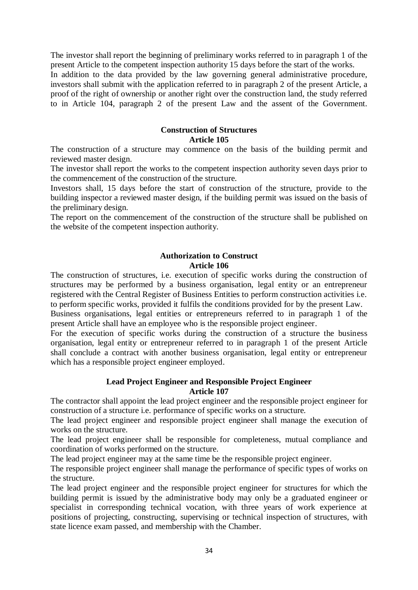The investor shall report the beginning of preliminary works referred to in paragraph 1 of the present Article to the competent inspection authority 15 days before the start of the works. In addition to the data provided by the law governing general administrative procedure, investors shall submit with the application referred to in paragraph 2 of the present Article, a proof of the right of ownership or another right over the construction land, the study referred to in Article 104, paragraph 2 of the present Law and the assent of the Government.

## **Construction of Structures Article 105**

The construction of a structure may commence on the basis of the building permit and reviewed master design.

The investor shall report the works to the competent inspection authority seven days prior to the commencement of the construction of the structure.

Investors shall, 15 days before the start of construction of the structure, provide to the building inspector a reviewed master design, if the building permit was issued on the basis of the preliminary design.

The report on the commencement of the construction of the structure shall be published on the website of the competent inspection authority.

## **Authorization to Construct Article 106**

The construction of structures, i.e. execution of specific works during the construction of structures may be performed by a business organisation, legal entity or an entrepreneur registered with the Central Register of Business Entities to perform construction activities i.e. to perform specific works, provided it fulfils the conditions provided for by the present Law.

Business organisations, legal entities or entrepreneurs referred to in paragraph 1 of the present Article shall have an employee who is the responsible project engineer.

For the execution of specific works during the construction of a structure the business organisation, legal entity or entrepreneur referred to in paragraph 1 of the present Article shall conclude a contract with another business organisation, legal entity or entrepreneur which has a responsible project engineer employed.

#### **Lead Project Engineer and Responsible Project Engineer Article 107**

The contractor shall appoint the lead project engineer and the responsible project engineer for construction of a structure i.e. performance of specific works on a structure.

The lead project engineer and responsible project engineer shall manage the execution of works on the structure.

The lead project engineer shall be responsible for completeness, mutual compliance and coordination of works performed on the structure.

The lead project engineer may at the same time be the responsible project engineer.

The responsible project engineer shall manage the performance of specific types of works on the structure.

The lead project engineer and the responsible project engineer for structures for which the building permit is issued by the administrative body may only be a graduated engineer or specialist in corresponding technical vocation, with three years of work experience at positions of projecting, constructing, supervising or technical inspection of structures, with state licence exam passed, and membership with the Chamber.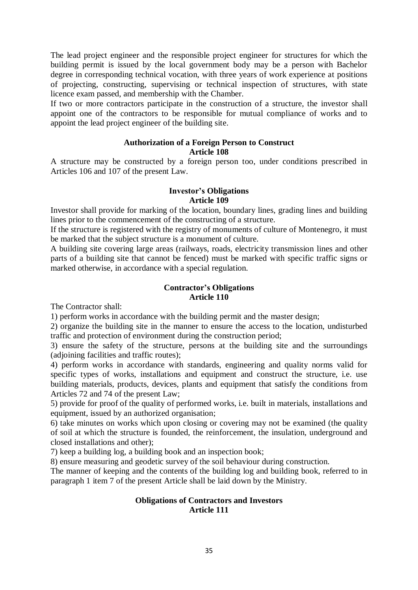The lead project engineer and the responsible project engineer for structures for which the building permit is issued by the local government body may be a person with Bachelor degree in corresponding technical vocation, with three years of work experience at positions of projecting, constructing, supervising or technical inspection of structures, with state licence exam passed, and membership with the Chamber.

If two or more contractors participate in the construction of a structure, the investor shall appoint one of the contractors to be responsible for mutual compliance of works and to appoint the lead project engineer of the building site.

## **Authorization of a Foreign Person to Construct Article 108**

A structure may be constructed by a foreign person too, under conditions prescribed in Articles 106 and 107 of the present Law.

## **Investor's Obligations Article 109**

Investor shall provide for marking of the location, boundary lines, grading lines and building lines prior to the commencement of the constructing of a structure.

If the structure is registered with the registry of monuments of culture of Montenegro, it must be marked that the subject structure is a monument of culture.

A building site covering large areas (railways, roads, electricity transmission lines and other parts of a building site that cannot be fenced) must be marked with specific traffic signs or marked otherwise, in accordance with a special regulation.

## **Contractor's Obligations Article 110**

The Contractor shall:

1) perform works in accordance with the building permit and the master design;

2) organize the building site in the manner to ensure the access to the location, undisturbed traffic and protection of environment during the construction period;

3) ensure the safety of the structure, persons at the building site and the surroundings (adjoining facilities and traffic routes);

4) perform works in accordance with standards, engineering and quality norms valid for specific types of works, installations and equipment and construct the structure, i.e. use building materials, products, devices, plants and equipment that satisfy the conditions from Articles 72 and 74 of the present Law;

5) provide for proof of the quality of performed works, i.e. built in materials, installations and equipment, issued by an authorized organisation;

6) take minutes on works which upon closing or covering may not be examined (the quality of soil at which the structure is founded, the reinforcement, the insulation, underground and closed installations and other);

7) keep a building log, a building book and an inspection book;

8) ensure measuring and geodetic survey of the soil behaviour during construction.

The manner of keeping and the contents of the building log and building book, referred to in paragraph 1 item 7 of the present Article shall be laid down by the Ministry.

#### **Obligations of Contractors and Investors Article 111**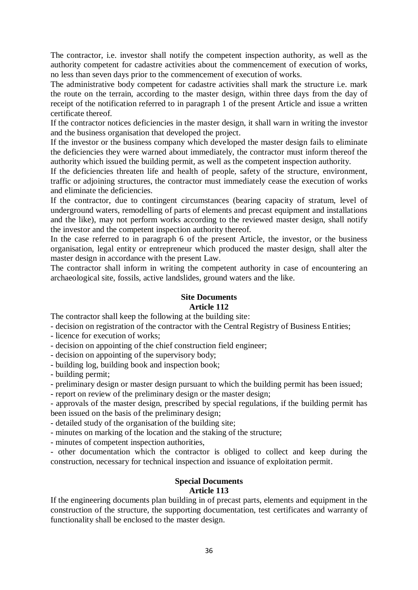The contractor, i.e. investor shall notify the competent inspection authority, as well as the authority competent for cadastre activities about the commencement of execution of works, no less than seven days prior to the commencement of execution of works.

The administrative body competent for cadastre activities shall mark the structure i.e. mark the route on the terrain, according to the master design, within three days from the day of receipt of the notification referred to in paragraph 1 of the present Article and issue a written certificate thereof.

If the contractor notices deficiencies in the master design, it shall warn in writing the investor and the business organisation that developed the project.

If the investor or the business company which developed the master design fails to eliminate the deficiencies they were warned about immediately, the contractor must inform thereof the authority which issued the building permit, as well as the competent inspection authority.

If the deficiencies threaten life and health of people, safety of the structure, environment, traffic or adjoining structures, the contractor must immediately cease the execution of works and eliminate the deficiencies.

If the contractor, due to contingent circumstances (bearing capacity of stratum, level of underground waters, remodelling of parts of elements and precast equipment and installations and the like), may not perform works according to the reviewed master design, shall notify the investor and the competent inspection authority thereof.

In the case referred to in paragraph 6 of the present Article, the investor, or the business organisation, legal entity or entrepreneur which produced the master design, shall alter the master design in accordance with the present Law.

The contractor shall inform in writing the competent authority in case of encountering an archaeological site, fossils, active landslides, ground waters and the like.

#### **Site Documents Article 112**

The contractor shall keep the following at the building site:

- decision on registration of the contractor with the Central Registry of Business Entities;

- licence for execution of works;

- decision on appointing of the chief construction field engineer;

- decision on appointing of the supervisory body;

- building log, building book and inspection book;

- building permit;

- preliminary design or master design pursuant to which the building permit has been issued;

- report on review of the preliminary design or the master design;

- approvals of the master design, prescribed by special regulations, if the building permit has been issued on the basis of the preliminary design;

- detailed study of the organisation of the building site;

- minutes on marking of the location and the staking of the structure;

- minutes of competent inspection authorities,

- other documentation which the contractor is obliged to collect and keep during the construction, necessary for technical inspection and issuance of exploitation permit.

#### **Special Documents Article 113**

If the engineering documents plan building in of precast parts, elements and equipment in the construction of the structure, the supporting documentation, test certificates and warranty of functionality shall be enclosed to the master design.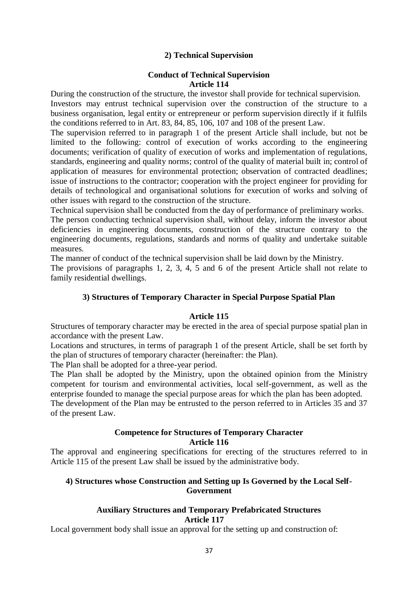## **2) Technical Supervision**

#### **Conduct of Technical Supervision Article 114**

During the construction of the structure, the investor shall provide for technical supervision. Investors may entrust technical supervision over the construction of the structure to a business organisation, legal entity or entrepreneur or perform supervision directly if it fulfils the conditions referred to in Art. 83, 84, 85, 106, 107 and 108 of the present Law.

The supervision referred to in paragraph 1 of the present Article shall include, but not be limited to the following: control of execution of works according to the engineering documents; verification of quality of execution of works and implementation of regulations, standards, engineering and quality norms; control of the quality of material built in; control of application of measures for environmental protection; observation of contracted deadlines; issue of instructions to the contractor; cooperation with the project engineer for providing for details of technological and organisational solutions for execution of works and solving of other issues with regard to the construction of the structure.

Technical supervision shall be conducted from the day of performance of preliminary works.

The person conducting technical supervision shall, without delay, inform the investor about deficiencies in engineering documents, construction of the structure contrary to the engineering documents, regulations, standards and norms of quality and undertake suitable measures.

The manner of conduct of the technical supervision shall be laid down by the Ministry.

The provisions of paragraphs 1, 2, 3, 4, 5 and 6 of the present Article shall not relate to family residential dwellings.

## **3) Structures of Temporary Character in Special Purpose Spatial Plan**

#### **Article 115**

Structures of temporary character may be erected in the area of special purpose spatial plan in accordance with the present Law.

Locations and structures, in terms of paragraph 1 of the present Article, shall be set forth by the plan of structures of temporary character (hereinafter: the Plan).

The Plan shall be adopted for a three-year period.

The Plan shall be adopted by the Ministry, upon the obtained opinion from the Ministry competent for tourism and environmental activities, local self-government, as well as the enterprise founded to manage the special purpose areas for which the plan has been adopted. The development of the Plan may be entrusted to the person referred to in Articles 35 and 37 of the present Law.

#### **Competence for Structures of Temporary Character Article 116**

The approval and engineering specifications for erecting of the structures referred to in Article 115 of the present Law shall be issued by the administrative body.

## **4) Structures whose Construction and Setting up Is Governed by the Local Self-Government**

## **Auxiliary Structures and Temporary Prefabricated Structures Article 117**

Local government body shall issue an approval for the setting up and construction of: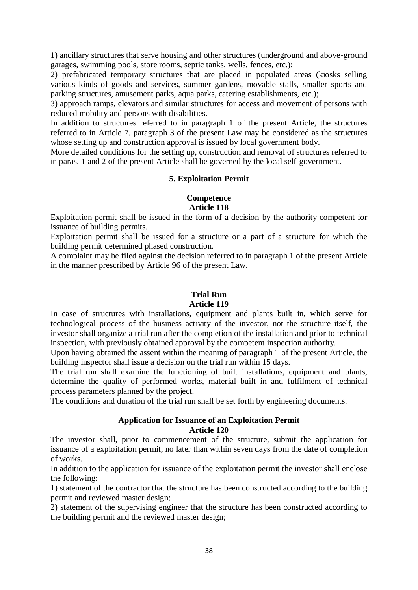1) ancillary structures that serve housing and other structures (underground and above-ground garages, swimming pools, store rooms, septic tanks, wells, fences, etc.);

2) prefabricated temporary structures that are placed in populated areas (kiosks selling various kinds of goods and services, summer gardens, movable stalls, smaller sports and parking structures, amusement parks, aqua parks, catering establishments, etc.);

3) approach ramps, elevators and similar structures for access and movement of persons with reduced mobility and persons with disabilities.

In addition to structures referred to in paragraph 1 of the present Article, the structures referred to in Article 7, paragraph 3 of the present Law may be considered as the structures whose setting up and construction approval is issued by local government body.

More detailed conditions for the setting up, construction and removal of structures referred to in paras. 1 and 2 of the present Article shall be governed by the local self-government.

#### **5. Exploitation Permit**

#### **Competence Article 118**

Exploitation permit shall be issued in the form of a decision by the authority competent for issuance of building permits.

Exploitation permit shall be issued for a structure or a part of a structure for which the building permit determined phased construction.

A complaint may be filed against the decision referred to in paragraph 1 of the present Article in the manner prescribed by Article 96 of the present Law.

#### **Trial Run Article 119**

In case of structures with installations, equipment and plants built in, which serve for technological process of the business activity of the investor, not the structure itself, the investor shall organize a trial run after the completion of the installation and prior to technical inspection, with previously obtained approval by the competent inspection authority.

Upon having obtained the assent within the meaning of paragraph 1 of the present Article, the building inspector shall issue a decision on the trial run within 15 days.

The trial run shall examine the functioning of built installations, equipment and plants, determine the quality of performed works, material built in and fulfilment of technical process parameters planned by the project.

The conditions and duration of the trial run shall be set forth by engineering documents.

## **Application for Issuance of an Exploitation Permit Article 120**

The investor shall, prior to commencement of the structure, submit the application for issuance of a exploitation permit, no later than within seven days from the date of completion of works.

In addition to the application for issuance of the exploitation permit the investor shall enclose the following:

1) statement of the contractor that the structure has been constructed according to the building permit and reviewed master design;

2) statement of the supervising engineer that the structure has been constructed according to the building permit and the reviewed master design;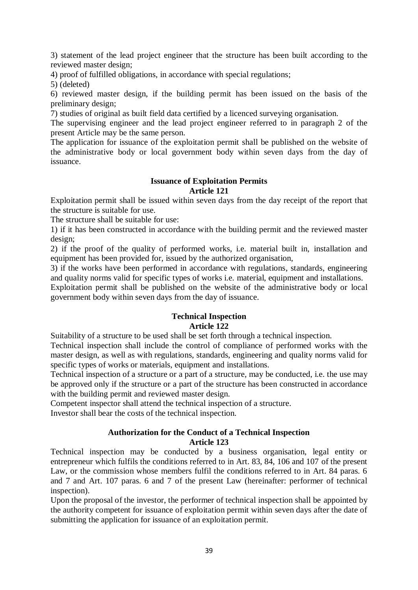3) statement of the lead project engineer that the structure has been built according to the reviewed master design;

4) proof of fulfilled obligations, in accordance with special regulations;

5) (deleted)

6) reviewed master design, if the building permit has been issued on the basis of the preliminary design;

7) studies of original as built field data certified by a licenced surveying organisation.

The supervising engineer and the lead project engineer referred to in paragraph 2 of the present Article may be the same person.

The application for issuance of the exploitation permit shall be published on the website of the administrative body or local government body within seven days from the day of issuance.

#### **Issuance of Exploitation Permits Article 121**

Exploitation permit shall be issued within seven days from the day receipt of the report that the structure is suitable for use.

The structure shall be suitable for use:

1) if it has been constructed in accordance with the building permit and the reviewed master design;

2) if the proof of the quality of performed works, i.e. material built in, installation and equipment has been provided for, issued by the authorized organisation,

3) if the works have been performed in accordance with regulations, standards, engineering and quality norms valid for specific types of works i.e. material, equipment and installations.

Exploitation permit shall be published on the website of the administrative body or local government body within seven days from the day of issuance.

## **Technical Inspection Article 122**

Suitability of a structure to be used shall be set forth through a technical inspection.

Technical inspection shall include the control of compliance of performed works with the master design, as well as with regulations, standards, engineering and quality norms valid for specific types of works or materials, equipment and installations.

Technical inspection of a structure or a part of a structure, may be conducted, i.e. the use may be approved only if the structure or a part of the structure has been constructed in accordance with the building permit and reviewed master design.

Competent inspector shall attend the technical inspection of a structure.

Investor shall bear the costs of the technical inspection.

# **Authorization for the Conduct of a Technical Inspection**

## **Article 123**

Technical inspection may be conducted by a business organisation, legal entity or entrepreneur which fulfils the conditions referred to in Art. 83, 84, 106 and 107 of the present Law, or the commission whose members fulfil the conditions referred to in Art. 84 paras. 6 and 7 and Art. 107 paras. 6 and 7 of the present Law (hereinafter: performer of technical inspection).

Upon the proposal of the investor, the performer of technical inspection shall be appointed by the authority competent for issuance of exploitation permit within seven days after the date of submitting the application for issuance of an exploitation permit.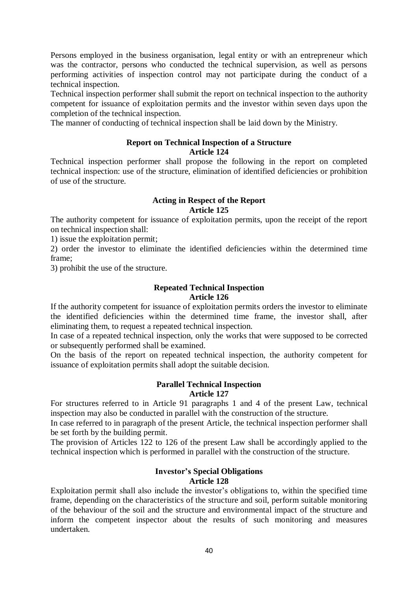Persons employed in the business organisation, legal entity or with an entrepreneur which was the contractor, persons who conducted the technical supervision, as well as persons performing activities of inspection control may not participate during the conduct of a technical inspection.

Technical inspection performer shall submit the report on technical inspection to the authority competent for issuance of exploitation permits and the investor within seven days upon the completion of the technical inspection.

The manner of conducting of technical inspection shall be laid down by the Ministry.

#### **Report on Technical Inspection of a Structure Article 124**

Technical inspection performer shall propose the following in the report on completed technical inspection: use of the structure, elimination of identified deficiencies or prohibition of use of the structure.

## **Acting in Respect of the Report Article 125**

The authority competent for issuance of exploitation permits, upon the receipt of the report on technical inspection shall:

1) issue the exploitation permit;

2) order the investor to eliminate the identified deficiencies within the determined time frame;

3) prohibit the use of the structure.

## **Repeated Technical Inspection Article 126**

If the authority competent for issuance of exploitation permits orders the investor to eliminate the identified deficiencies within the determined time frame, the investor shall, after eliminating them, to request a repeated technical inspection.

In case of a repeated technical inspection, only the works that were supposed to be corrected or subsequently performed shall be examined.

On the basis of the report on repeated technical inspection, the authority competent for issuance of exploitation permits shall adopt the suitable decision.

#### **Parallel Technical Inspection Article 127**

For structures referred to in Article 91 paragraphs 1 and 4 of the present Law, technical inspection may also be conducted in parallel with the construction of the structure.

In case referred to in paragraph of the present Article, the technical inspection performer shall be set forth by the building permit.

The provision of Articles 122 to 126 of the present Law shall be accordingly applied to the technical inspection which is performed in parallel with the construction of the structure.

## **Investor's Special Obligations Article 128**

Exploitation permit shall also include the investor's obligations to, within the specified time frame, depending on the characteristics of the structure and soil, perform suitable monitoring of the behaviour of the soil and the structure and environmental impact of the structure and inform the competent inspector about the results of such monitoring and measures undertaken.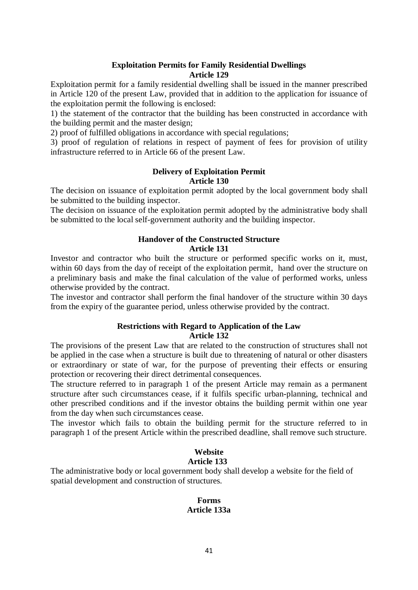## **Exploitation Permits for Family Residential Dwellings Article 129**

Exploitation permit for a family residential dwelling shall be issued in the manner prescribed in Article 120 of the present Law, provided that in addition to the application for issuance of the exploitation permit the following is enclosed:

1) the statement of the contractor that the building has been constructed in accordance with the building permit and the master design;

2) proof of fulfilled obligations in accordance with special regulations;

3) proof of regulation of relations in respect of payment of fees for provision of utility infrastructure referred to in Article 66 of the present Law.

#### **Delivery of Exploitation Permit Article 130**

The decision on issuance of exploitation permit adopted by the local government body shall be submitted to the building inspector.

The decision on issuance of the exploitation permit adopted by the administrative body shall be submitted to the local self-government authority and the building inspector.

# **Handover of the Constructed Structure Article 131**

Investor and contractor who built the structure or performed specific works on it, must, within 60 days from the day of receipt of the exploitation permit, hand over the structure on a preliminary basis and make the final calculation of the value of performed works, unless otherwise provided by the contract.

The investor and contractor shall perform the final handover of the structure within 30 days from the expiry of the guarantee period, unless otherwise provided by the contract.

## **Restrictions with Regard to Application of the Law Article 132**

The provisions of the present Law that are related to the construction of structures shall not be applied in the case when a structure is built due to threatening of natural or other disasters or extraordinary or state of war, for the purpose of preventing their effects or ensuring protection or recovering their direct detrimental consequences.

The structure referred to in paragraph 1 of the present Article may remain as a permanent structure after such circumstances cease, if it fulfils specific urban-planning, technical and other prescribed conditions and if the investor obtains the building permit within one year from the day when such circumstances cease.

The investor which fails to obtain the building permit for the structure referred to in paragraph 1 of the present Article within the prescribed deadline, shall remove such structure.

## **Website Article 133**

The administrative body or local government body shall develop a website for the field of spatial development and construction of structures.

## **Forms Article 133a**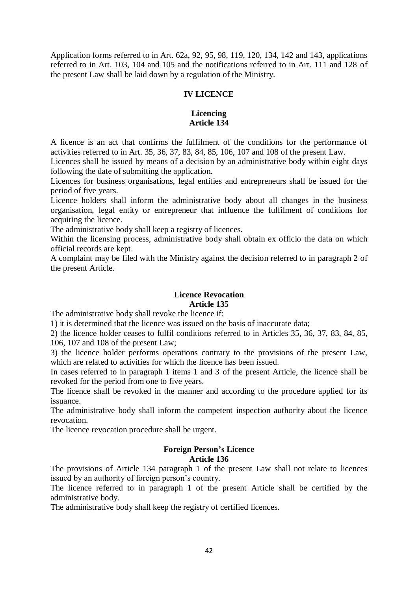Application forms referred to in Art. 62a, 92, 95, 98, 119, 120, 134, 142 and 143, applications referred to in Art. 103, 104 and 105 and the notifications referred to in Art. 111 and 128 of the present Law shall be laid down by a regulation of the Ministry.

## **IV LICENCE**

#### **Licencing Article 134**

A licence is an act that confirms the fulfilment of the conditions for the performance of activities referred to in Art. 35, 36, 37, 83, 84, 85, 106, 107 and 108 of the present Law.

Licences shall be issued by means of a decision by an administrative body within eight days following the date of submitting the application.

Licences for business organisations, legal entities and entrepreneurs shall be issued for the period of five years.

Licence holders shall inform the administrative body about all changes in the business organisation, legal entity or entrepreneur that influence the fulfilment of conditions for acquiring the licence.

The administrative body shall keep a registry of licences.

Within the licensing process, administrative body shall obtain ex officio the data on which official records are kept.

A complaint may be filed with the Ministry against the decision referred to in paragraph 2 of the present Article.

#### **Licence Revocation Article 135**

The administrative body shall revoke the licence if:

1) it is determined that the licence was issued on the basis of inaccurate data;

2) the licence holder ceases to fulfil conditions referred to in Articles 35, 36, 37, 83, 84, 85, 106, 107 and 108 of the present Law;

3) the licence holder performs operations contrary to the provisions of the present Law, which are related to activities for which the licence has been issued.

In cases referred to in paragraph 1 items 1 and 3 of the present Article, the licence shall be revoked for the period from one to five years.

The licence shall be revoked in the manner and according to the procedure applied for its issuance.

The administrative body shall inform the competent inspection authority about the licence revocation.

The licence revocation procedure shall be urgent.

## **Foreign Person's Licence Article 136**

The provisions of Article 134 paragraph 1 of the present Law shall not relate to licences issued by an authority of foreign person's country.

The licence referred to in paragraph 1 of the present Article shall be certified by the administrative body.

The administrative body shall keep the registry of certified licences.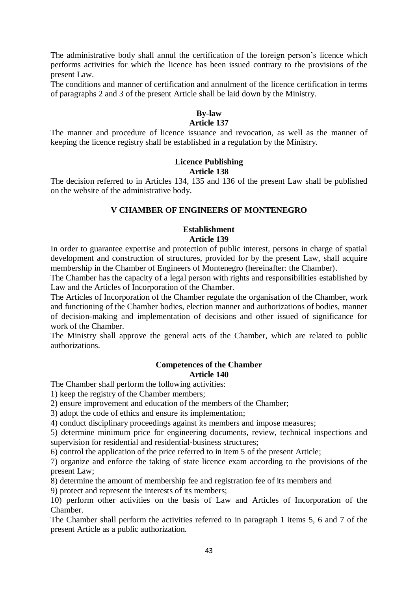The administrative body shall annul the certification of the foreign person's licence which performs activities for which the licence has been issued contrary to the provisions of the present Law.

The conditions and manner of certification and annulment of the licence certification in terms of paragraphs 2 and 3 of the present Article shall be laid down by the Ministry.

## **By-law**

#### **Article 137**

The manner and procedure of licence issuance and revocation, as well as the manner of keeping the licence registry shall be established in a regulation by the Ministry.

# **Licence Publishing**

#### **Article 138**

The decision referred to in Articles 134, 135 and 136 of the present Law shall be published on the website of the administrative body.

## **V CHAMBER OF ENGINEERS OF MONTENEGRO**

#### **Establishment Article 139**

In order to guarantee expertise and protection of public interest, persons in charge of spatial development and construction of structures, provided for by the present Law, shall acquire membership in the Chamber of Engineers of Montenegro (hereinafter: the Chamber).

The Chamber has the capacity of a legal person with rights and responsibilities established by Law and the Articles of Incorporation of the Chamber.

The Articles of Incorporation of the Chamber regulate the organisation of the Chamber, work and functioning of the Chamber bodies, election manner and authorizations of bodies, manner of decision-making and implementation of decisions and other issued of significance for work of the Chamber.

The Ministry shall approve the general acts of the Chamber, which are related to public authorizations.

## **Competences of the Chamber Article 140**

The Chamber shall perform the following activities:

1) keep the registry of the Chamber members;

2) ensure improvement and education of the members of the Chamber;

3) adopt the code of ethics and ensure its implementation;

4) conduct disciplinary proceedings against its members and impose measures;

5) determine minimum price for engineering documents, review, technical inspections and supervision for residential and residential-business structures;

6) control the application of the price referred to in item 5 of the present Article;

7) organize and enforce the taking of state licence exam according to the provisions of the present Law;

8) determine the amount of membership fee and registration fee of its members and

9) protect and represent the interests of its members;

10) perform other activities on the basis of Law and Articles of Incorporation of the Chamber.

The Chamber shall perform the activities referred to in paragraph 1 items 5, 6 and 7 of the present Article as a public authorization.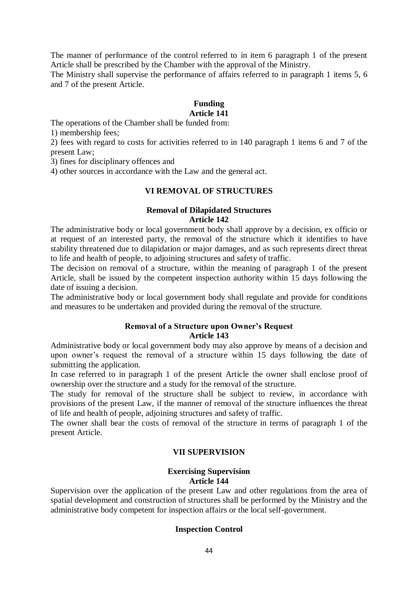The manner of performance of the control referred to in item 6 paragraph 1 of the present Article shall be prescribed by the Chamber with the approval of the Ministry.

The Ministry shall supervise the performance of affairs referred to in paragraph 1 items 5, 6 and 7 of the present Article.

# **Funding**

# **Article 141**

The operations of the Chamber shall be funded from:

1) membership fees;

2) fees with regard to costs for activities referred to in 140 paragraph 1 items 6 and 7 of the present Law;

3) fines for disciplinary offences and

4) other sources in accordance with the Law and the general act.

#### **VI REMOVAL OF STRUCTURES**

#### **Removal of Dilapidated Structures Article 142**

The administrative body or local government body shall approve by a decision, ex officio or at request of an interested party, the removal of the structure which it identifies to have stability threatened due to dilapidation or major damages, and as such represents direct threat to life and health of people, to adjoining structures and safety of traffic.

The decision on removal of a structure, within the meaning of paragraph 1 of the present Article, shall be issued by the competent inspection authority within 15 days following the date of issuing a decision.

The administrative body or local government body shall regulate and provide for conditions and measures to be undertaken and provided during the removal of the structure.

#### **Removal of a Structure upon Owner's Request Article 143**

Administrative body or local government body may also approve by means of a decision and upon owner's request the removal of a structure within 15 days following the date of submitting the application.

In case referred to in paragraph 1 of the present Article the owner shall enclose proof of ownership over the structure and a study for the removal of the structure.

The study for removal of the structure shall be subject to review, in accordance with provisions of the present Law, if the manner of removal of the structure influences the threat of life and health of people, adjoining structures and safety of traffic.

The owner shall bear the costs of removal of the structure in terms of paragraph 1 of the present Article.

#### **VII SUPERVISION**

# **Exercising Supervision Article 144**

Supervision over the application of the present Law and other regulations from the area of spatial development and construction of structures shall be performed by the Ministry and the administrative body competent for inspection affairs or the local self-government.

## **Inspection Control**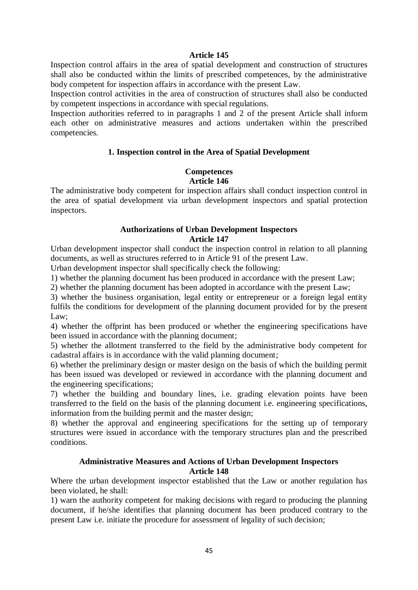#### **Article 145**

Inspection control affairs in the area of spatial development and construction of structures shall also be conducted within the limits of prescribed competences, by the administrative body competent for inspection affairs in accordance with the present Law.

Inspection control activities in the area of construction of structures shall also be conducted by competent inspections in accordance with special regulations.

Inspection authorities referred to in paragraphs 1 and 2 of the present Article shall inform each other on administrative measures and actions undertaken within the prescribed competencies.

#### **1. Inspection control in the Area of Spatial Development**

#### **Competences Article 146**

The administrative body competent for inspection affairs shall conduct inspection control in the area of spatial development via urban development inspectors and spatial protection inspectors.

#### **Authorizations of Urban Development Inspectors Article 147**

Urban development inspector shall conduct the inspection control in relation to all planning documents, as well as structures referred to in Article 91 of the present Law.

Urban development inspector shall specifically check the following:

1) whether the planning document has been produced in accordance with the present Law;

2) whether the planning document has been adopted in accordance with the present Law;

3) whether the business organisation, legal entity or entrepreneur or a foreign legal entity fulfils the conditions for development of the planning document provided for by the present Law:

4) whether the offprint has been produced or whether the engineering specifications have been issued in accordance with the planning document;

5) whether the allotment transferred to the field by the administrative body competent for cadastral affairs is in accordance with the valid planning document;

6) whether the preliminary design or master design on the basis of which the building permit has been issued was developed or reviewed in accordance with the planning document and the engineering specifications;

7) whether the building and boundary lines, i.e. grading elevation points have been transferred to the field on the basis of the planning document i.e. engineering specifications, information from the building permit and the master design;

8) whether the approval and engineering specifications for the setting up of temporary structures were issued in accordance with the temporary structures plan and the prescribed conditions.

#### **Administrative Measures and Actions of Urban Development Inspectors Article 148**

Where the urban development inspector established that the Law or another regulation has been violated, he shall:

1) warn the authority competent for making decisions with regard to producing the planning document, if he/she identifies that planning document has been produced contrary to the present Law i.e. initiate the procedure for assessment of legality of such decision;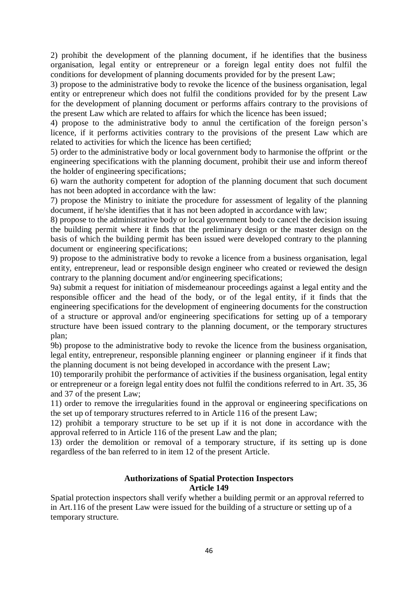2) prohibit the development of the planning document, if he identifies that the business organisation, legal entity or entrepreneur or a foreign legal entity does not fulfil the conditions for development of planning documents provided for by the present Law;

3) propose to the administrative body to revoke the licence of the business organisation, legal entity or entrepreneur which does not fulfil the conditions provided for by the present Law for the development of planning document or performs affairs contrary to the provisions of the present Law which are related to affairs for which the licence has been issued;

4) propose to the administrative body to annul the certification of the foreign person's licence, if it performs activities contrary to the provisions of the present Law which are related to activities for which the licence has been certified;

5) order to the administrative body or local government body to harmonise the offprint or the engineering specifications with the planning document, prohibit their use and inform thereof the holder of engineering specifications;

6) warn the authority competent for adoption of the planning document that such document has not been adopted in accordance with the law:

7) propose the Ministry to initiate the procedure for assessment of legality of the planning document, if he/she identifies that it has not been adopted in accordance with law;

8) propose to the administrative body or local government body to cancel the decision issuing the building permit where it finds that the preliminary design or the master design on the basis of which the building permit has been issued were developed contrary to the planning document or engineering specifications;

9) propose to the administrative body to revoke a licence from a business organisation, legal entity, entrepreneur, lead or responsible design engineer who created or reviewed the design contrary to the planning document and/or engineering specifications;

9a) submit a request for initiation of misdemeanour proceedings against a legal entity and the responsible officer and the head of the body, or of the legal entity, if it finds that the engineering specifications for the development of engineering documents for the construction of a structure or approval and/or engineering specifications for setting up of a temporary structure have been issued contrary to the planning document, or the temporary structures plan;

9b) propose to the administrative body to revoke the licence from the business organisation, legal entity, entrepreneur, responsible planning engineer or planning engineer if it finds that the planning document is not being developed in accordance with the present Law;

10) temporarily prohibit the performance of activities if the business organisation, legal entity or entrepreneur or a foreign legal entity does not fulfil the conditions referred to in Art. 35, 36 and 37 of the present Law;

11) order to remove the irregularities found in the approval or engineering specifications on the set up of temporary structures referred to in Article 116 of the present Law;

12) prohibit a temporary structure to be set up if it is not done in accordance with the approval referred to in Article 116 of the present Law and the plan;

13) order the demolition or removal of a temporary structure, if its setting up is done regardless of the ban referred to in item 12 of the present Article.

#### **Authorizations of Spatial Protection Inspectors Article 149**

Spatial protection inspectors shall verify whether a building permit or an approval referred to in Art.116 of the present Law were issued for the building of a structure or setting up of a temporary structure.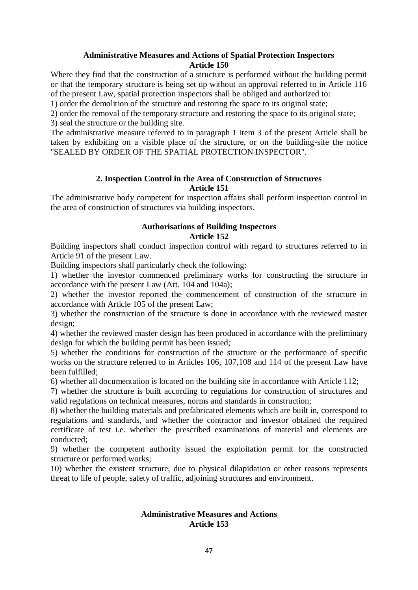## **Administrative Measures and Actions of Spatial Protection Inspectors Article 150**

Where they find that the construction of a structure is performed without the building permit or that the temporary structure is being set up without an approval referred to in Article 116 of the present Law, spatial protection inspectors shall be obliged and authorized to:

1) order the demolition of the structure and restoring the space to its original state;

2) order the removal of the temporary structure and restoring the space to its original state; 3) seal the structure or the building site.

The administrative measure referred to in paragraph 1 item 3 of the present Article shall be taken by exhibiting on a visible place of the structure, or on the building-site the notice "SEALED BY ORDER OF THE SPATIAL PROTECTION INSPECTOR".

## **2. Inspection Control in the Area of Construction of Structures Article 151**

The administrative body competent for inspection affairs shall perform inspection control in the area of construction of structures via building inspectors.

## **Authorisations of Building Inspectors Article 152**

Building inspectors shall conduct inspection control with regard to structures referred to in Article 91 of the present Law.

Building inspectors shall particularly check the following:

1) whether the investor commenced preliminary works for constructing the structure in accordance with the present Law (Art. 104 and 104a);

2) whether the investor reported the commencement of construction of the structure in accordance with Article 105 of the present Law;

3) whether the construction of the structure is done in accordance with the reviewed master design;

4) whether the reviewed master design has been produced in accordance with the preliminary design for which the building permit has been issued;

5) whether the conditions for construction of the structure or the performance of specific works on the structure referred to in Articles 106, 107,108 and 114 of the present Law have been fulfilled;

6) whether all documentation is located on the building site in accordance with Article 112;

7) whether the structure is built according to regulations for construction of structures and valid regulations on technical measures, norms and standards in construction;

8) whether the building materials and prefabricated elements which are built in, correspond to regulations and standards, and whether the contractor and investor obtained the required certificate of test i.e. whether the prescribed examinations of material and elements are conducted;

9) whether the competent authority issued the exploitation permit for the constructed structure or performed works;

10) whether the existent structure, due to physical dilapidation or other reasons represents threat to life of people, safety of traffic, adjoining structures and environment.

## **Administrative Measures and Actions Article 153**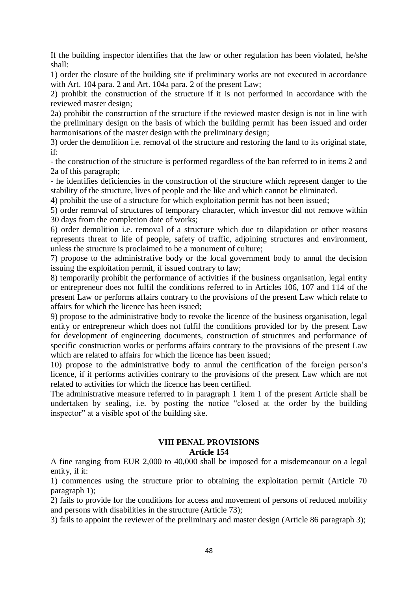If the building inspector identifies that the law or other regulation has been violated, he/she shall:

1) order the closure of the building site if preliminary works are not executed in accordance with Art. 104 para. 2 and Art. 104a para. 2 of the present Law;

2) prohibit the construction of the structure if it is not performed in accordance with the reviewed master design;

2a) prohibit the construction of the structure if the reviewed master design is not in line with the preliminary design on the basis of which the building permit has been issued and order harmonisations of the master design with the preliminary design;

3) order the demolition i.e. removal of the structure and restoring the land to its original state, if:

- the construction of the structure is performed regardless of the ban referred to in items 2 and 2a of this paragraph;

- he identifies deficiencies in the construction of the structure which represent danger to the stability of the structure, lives of people and the like and which cannot be eliminated.

4) prohibit the use of a structure for which exploitation permit has not been issued;

5) order removal of structures of temporary character, which investor did not remove within 30 days from the completion date of works;

6) order demolition i.e. removal of a structure which due to dilapidation or other reasons represents threat to life of people, safety of traffic, adjoining structures and environment, unless the structure is proclaimed to be a monument of culture;

7) propose to the administrative body or the local government body to annul the decision issuing the exploitation permit, if issued contrary to law;

8) temporarily prohibit the performance of activities if the business organisation, legal entity or entrepreneur does not fulfil the conditions referred to in Articles 106, 107 and 114 of the present Law or performs affairs contrary to the provisions of the present Law which relate to affairs for which the licence has been issued;

9) propose to the administrative body to revoke the licence of the business organisation, legal entity or entrepreneur which does not fulfil the conditions provided for by the present Law for development of engineering documents, construction of structures and performance of specific construction works or performs affairs contrary to the provisions of the present Law which are related to affairs for which the licence has been issued;

10) propose to the administrative body to annul the certification of the foreign person's licence, if it performs activities contrary to the provisions of the present Law which are not related to activities for which the licence has been certified.

The administrative measure referred to in paragraph 1 item 1 of the present Article shall be undertaken by sealing, i.e. by posting the notice "closed at the order by the building inspector" at a visible spot of the building site.

#### **VIII PENAL PROVISIONS**

#### **Article 154**

A fine ranging from EUR 2,000 to 40,000 shall be imposed for a misdemeanour on a legal entity, if it:

1) commences using the structure prior to obtaining the exploitation permit (Article 70 paragraph 1);

2) fails to provide for the conditions for access and movement of persons of reduced mobility and persons with disabilities in the structure (Article 73);

3) fails to appoint the reviewer of the preliminary and master design (Article 86 paragraph 3);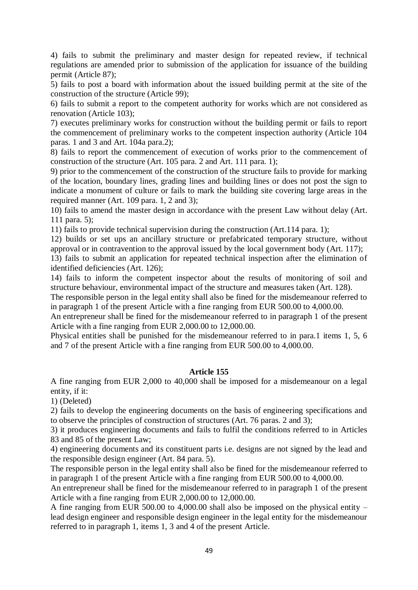4) fails to submit the preliminary and master design for repeated review, if technical regulations are amended prior to submission of the application for issuance of the building permit (Article 87);

5) fails to post a board with information about the issued building permit at the site of the construction of the structure (Article 99);

6) fails to submit a report to the competent authority for works which are not considered as renovation (Article 103);

7) executes preliminary works for construction without the building permit or fails to report the commencement of preliminary works to the competent inspection authority (Article 104 paras. 1 and 3 and Art. 104a para.2);

8) fails to report the commencement of execution of works prior to the commencement of construction of the structure (Art. 105 para. 2 and Art. 111 para. 1);

9) prior to the commencement of the construction of the structure fails to provide for marking of the location, boundary lines, grading lines and building lines or does not post the sign to indicate a monument of culture or fails to mark the building site covering large areas in the required manner (Art. 109 para. 1, 2 and 3);

10) fails to amend the master design in accordance with the present Law without delay (Art. 111 para. 5);

11) fails to provide technical supervision during the construction (Art.114 para. 1);

12) builds or set ups an ancillary structure or prefabricated temporary structure, without approval or in contravention to the approval issued by the local government body (Art. 117);

13) fails to submit an application for repeated technical inspection after the elimination of identified deficiencies (Art. 126);

14) fails to inform the competent inspector about the results of monitoring of soil and structure behaviour, environmental impact of the structure and measures taken (Art. 128).

The responsible person in the legal entity shall also be fined for the misdemeanour referred to in paragraph 1 of the present Article with a fine ranging from EUR 500.00 to 4,000.00.

An entrepreneur shall be fined for the misdemeanour referred to in paragraph 1 of the present Article with a fine ranging from EUR 2,000.00 to 12,000.00.

Physical entities shall be punished for the misdemeanour referred to in para.1 items 1, 5, 6 and 7 of the present Article with a fine ranging from EUR 500.00 to 4,000.00.

#### **Article 155**

A fine ranging from EUR 2,000 to 40,000 shall be imposed for a misdemeanour on a legal entity, if it:

1) (Deleted)

2) fails to develop the engineering documents on the basis of engineering specifications and to observe the principles of construction of structures (Art. 76 paras. 2 and 3);

3) it produces engineering documents and fails to fulfil the conditions referred to in Articles 83 and 85 of the present Law;

4) engineering documents and its constituent parts i.e. designs are not signed by the lead and the responsible design engineer (Art. 84 para. 5).

The responsible person in the legal entity shall also be fined for the misdemeanour referred to in paragraph 1 of the present Article with a fine ranging from EUR 500.00 to 4,000.00.

An entrepreneur shall be fined for the misdemeanour referred to in paragraph 1 of the present Article with a fine ranging from EUR 2,000.00 to 12,000.00.

A fine ranging from EUR 500.00 to 4,000.00 shall also be imposed on the physical entity – lead design engineer and responsible design engineer in the legal entity for the misdemeanour referred to in paragraph 1, items 1, 3 and 4 of the present Article.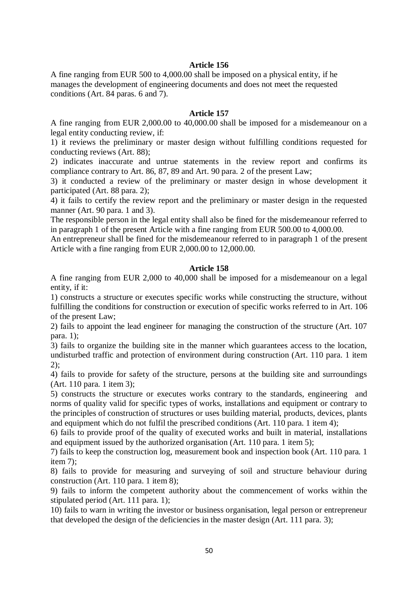## **Article 156**

A fine ranging from EUR 500 to 4,000.00 shall be imposed on a physical entity, if he manages the development of engineering documents and does not meet the requested conditions (Art. 84 paras. 6 and 7).

#### **Article 157**

A fine ranging from EUR 2,000.00 to 40,000.00 shall be imposed for a misdemeanour on a legal entity conducting review, if:

1) it reviews the preliminary or master design without fulfilling conditions requested for conducting reviews (Art. 88);

2) indicates inaccurate and untrue statements in the review report and confirms its compliance contrary to Art. 86, 87, 89 and Art. 90 para. 2 of the present Law;

3) it conducted a review of the preliminary or master design in whose development it participated (Art. 88 para. 2);

4) it fails to certify the review report and the preliminary or master design in the requested manner (Art. 90 para. 1 and 3).

The responsible person in the legal entity shall also be fined for the misdemeanour referred to in paragraph 1 of the present Article with a fine ranging from EUR 500.00 to 4,000.00.

An entrepreneur shall be fined for the misdemeanour referred to in paragraph 1 of the present Article with a fine ranging from EUR 2,000.00 to 12,000.00.

#### **Article 158**

A fine ranging from EUR 2,000 to 40,000 shall be imposed for a misdemeanour on a legal entity, if it:

1) constructs a structure or executes specific works while constructing the structure, without fulfilling the conditions for construction or execution of specific works referred to in Art. 106 of the present Law;

2) fails to appoint the lead engineer for managing the construction of the structure (Art. 107 para. 1);

3) fails to organize the building site in the manner which guarantees access to the location, undisturbed traffic and protection of environment during construction (Art. 110 para. 1 item 2);

4) fails to provide for safety of the structure, persons at the building site and surroundings (Art. 110 para. 1 item 3);

5) constructs the structure or executes works contrary to the standards, engineering and norms of quality valid for specific types of works, installations and equipment or contrary to the principles of construction of structures or uses building material, products, devices, plants and equipment which do not fulfil the prescribed conditions (Art. 110 para. 1 item 4);

6) fails to provide proof of the quality of executed works and built in material, installations and equipment issued by the authorized organisation (Art. 110 para. 1 item 5);

7) fails to keep the construction log, measurement book and inspection book (Art. 110 para. 1 item 7);

8) fails to provide for measuring and surveying of soil and structure behaviour during construction (Art. 110 para. 1 item 8);

9) fails to inform the competent authority about the commencement of works within the stipulated period (Art. 111 para. 1);

10) fails to warn in writing the investor or business organisation, legal person or entrepreneur that developed the design of the deficiencies in the master design (Art. 111 para. 3);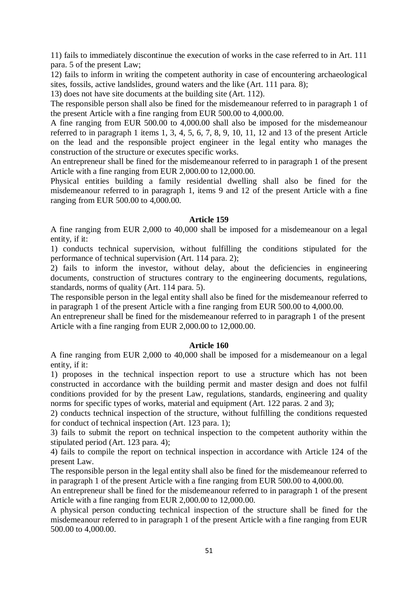11) fails to immediately discontinue the execution of works in the case referred to in Art. 111 para. 5 of the present Law;

12) fails to inform in writing the competent authority in case of encountering archaeological sites, fossils, active landslides, ground waters and the like (Art. 111 para. 8);

13) does not have site documents at the building site (Art. 112).

The responsible person shall also be fined for the misdemeanour referred to in paragraph 1 of the present Article with a fine ranging from EUR 500.00 to 4,000.00.

A fine ranging from EUR 500.00 to 4,000.00 shall also be imposed for the misdemeanour referred to in paragraph 1 items 1, 3, 4, 5, 6, 7, 8, 9, 10, 11, 12 and 13 of the present Article on the lead and the responsible project engineer in the legal entity who manages the construction of the structure or executes specific works.

An entrepreneur shall be fined for the misdemeanour referred to in paragraph 1 of the present Article with a fine ranging from EUR 2,000.00 to 12,000.00.

Physical entities building a family residential dwelling shall also be fined for the misdemeanour referred to in paragraph 1, items 9 and 12 of the present Article with a fine ranging from EUR 500.00 to 4,000.00.

#### **Article 159**

A fine ranging from EUR 2,000 to 40,000 shall be imposed for a misdemeanour on a legal entity, if it:

1) conducts technical supervision, without fulfilling the conditions stipulated for the performance of technical supervision (Art. 114 para. 2);

2) fails to inform the investor, without delay, about the deficiencies in engineering documents, construction of structures contrary to the engineering documents, regulations, standards, norms of quality (Art. 114 para. 5).

The responsible person in the legal entity shall also be fined for the misdemeanour referred to in paragraph 1 of the present Article with a fine ranging from EUR 500.00 to 4,000.00.

An entrepreneur shall be fined for the misdemeanour referred to in paragraph 1 of the present Article with a fine ranging from EUR 2,000.00 to 12,000.00.

#### **Article 160**

A fine ranging from EUR 2,000 to 40,000 shall be imposed for a misdemeanour on a legal entity, if it:

1) proposes in the technical inspection report to use a structure which has not been constructed in accordance with the building permit and master design and does not fulfil conditions provided for by the present Law, regulations, standards, engineering and quality norms for specific types of works, material and equipment (Art. 122 paras. 2 and 3);

2) conducts technical inspection of the structure, without fulfilling the conditions requested for conduct of technical inspection (Art. 123 para. 1);

3) fails to submit the report on technical inspection to the competent authority within the stipulated period (Art. 123 para. 4);

4) fails to compile the report on technical inspection in accordance with Article 124 of the present Law.

The responsible person in the legal entity shall also be fined for the misdemeanour referred to in paragraph 1 of the present Article with a fine ranging from EUR 500.00 to 4,000.00.

An entrepreneur shall be fined for the misdemeanour referred to in paragraph 1 of the present Article with a fine ranging from EUR 2,000.00 to 12,000.00.

A physical person conducting technical inspection of the structure shall be fined for the misdemeanour referred to in paragraph 1 of the present Article with a fine ranging from EUR 500.00 to 4,000.00.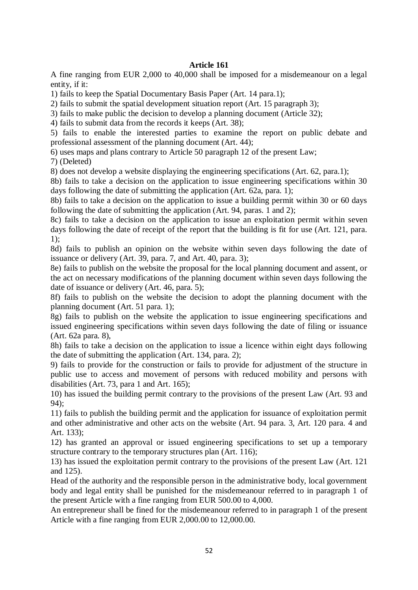## **Article 161**

A fine ranging from EUR 2,000 to 40,000 shall be imposed for a misdemeanour on a legal entity, if it:

1) fails to keep the Spatial Documentary Basis Paper (Art. 14 para.1);

2) fails to submit the spatial development situation report (Art. 15 paragraph 3);

3) fails to make public the decision to develop a planning document (Article 32);

4) fails to submit data from the records it keeps (Art. 38);

5) fails to enable the interested parties to examine the report on public debate and professional assessment of the planning document (Art. 44);

6) uses maps and plans contrary to Article 50 paragraph 12 of the present Law;

7) (Deleted)

8) does not develop a website displaying the engineering specifications (Art. 62, para.1);

8b) fails to take a decision on the application to issue engineering specifications within 30 days following the date of submitting the application (Art. 62a, para. 1);

8b) fails to take a decision on the application to issue a building permit within 30 or 60 days following the date of submitting the application (Art. 94, paras. 1 and 2);

8c) fails to take a decision on the application to issue an exploitation permit within seven days following the date of receipt of the report that the building is fit for use (Art. 121, para. 1);

8d) fails to publish an opinion on the website within seven days following the date of issuance or delivery (Art. 39, para. 7, and Art. 40, para. 3);

8e) fails to publish on the website the proposal for the local planning document and assent, or the act on necessary modifications of the planning document within seven days following the date of issuance or delivery (Art. 46, para. 5);

8f) fails to publish on the website the decision to adopt the planning document with the planning document (Art. 51 para. 1);

8g) fails to publish on the website the application to issue engineering specifications and issued engineering specifications within seven days following the date of filing or issuance (Art. 62a para. 8),

8h) fails to take a decision on the application to issue a licence within eight days following the date of submitting the application (Art. 134, para. 2);

9) fails to provide for the construction or fails to provide for adjustment of the structure in public use to access and movement of persons with reduced mobility and persons with disabilities (Art. 73, para 1 and Art. 165);

10) has issued the building permit contrary to the provisions of the present Law (Art. 93 and 94);

11) fails to publish the building permit and the application for issuance of exploitation permit and other administrative and other acts on the website (Art. 94 para. 3, Art. 120 para. 4 and Art. 133);

12) has granted an approval or issued engineering specifications to set up a temporary structure contrary to the temporary structures plan (Art. 116);

13) has issued the exploitation permit contrary to the provisions of the present Law (Art. 121 and 125).

Head of the authority and the responsible person in the administrative body, local government body and legal entity shall be punished for the misdemeanour referred to in paragraph 1 of the present Article with a fine ranging from EUR 500.00 to 4,000.

An entrepreneur shall be fined for the misdemeanour referred to in paragraph 1 of the present Article with a fine ranging from EUR 2,000.00 to 12,000.00.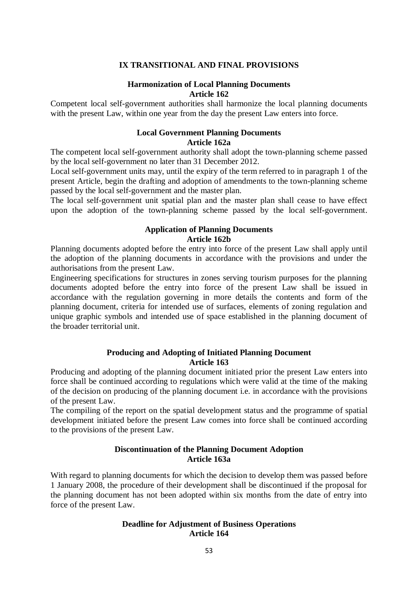#### **IX TRANSITIONAL AND FINAL PROVISIONS**

#### **Harmonization of Local Planning Documents Article 162**

Competent local self-government authorities shall harmonize the local planning documents with the present Law, within one year from the day the present Law enters into force.

#### **Local Government Planning Documents Article 162a**

The competent local self-government authority shall adopt the town-planning scheme passed by the local self-government no later than 31 December 2012.

Local self-government units may, until the expiry of the term referred to in paragraph 1 of the present Article, begin the drafting and adoption of amendments to the town-planning scheme passed by the local self-government and the master plan.

The local self-government unit spatial plan and the master plan shall cease to have effect upon the adoption of the town-planning scheme passed by the local self-government.

#### **Application of Planning Documents Article 162b**

Planning documents adopted before the entry into force of the present Law shall apply until the adoption of the planning documents in accordance with the provisions and under the authorisations from the present Law.

Engineering specifications for structures in zones serving tourism purposes for the planning documents adopted before the entry into force of the present Law shall be issued in accordance with the regulation governing in more details the contents and form of the planning document, criteria for intended use of surfaces, elements of zoning regulation and unique graphic symbols and intended use of space established in the planning document of the broader territorial unit.

#### **Producing and Adopting of Initiated Planning Document Article 163**

Producing and adopting of the planning document initiated prior the present Law enters into force shall be continued according to regulations which were valid at the time of the making of the decision on producing of the planning document i.e. in accordance with the provisions of the present Law.

The compiling of the report on the spatial development status and the programme of spatial development initiated before the present Law comes into force shall be continued according to the provisions of the present Law.

## **Discontinuation of the Planning Document Adoption Article 163a**

With regard to planning documents for which the decision to develop them was passed before 1 January 2008, the procedure of their development shall be discontinued if the proposal for the planning document has not been adopted within six months from the date of entry into force of the present Law.

#### **Deadline for Adjustment of Business Operations Article 164**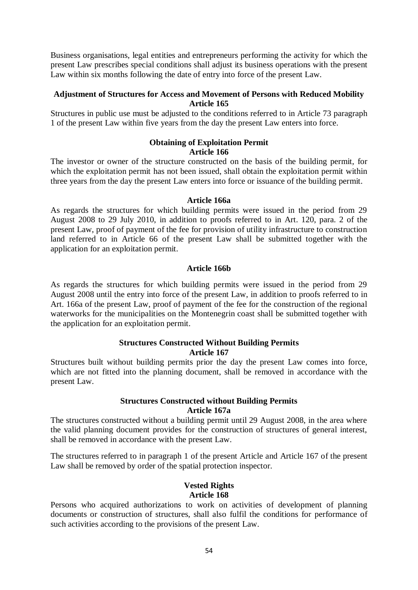Business organisations, legal entities and entrepreneurs performing the activity for which the present Law prescribes special conditions shall adjust its business operations with the present Law within six months following the date of entry into force of the present Law.

#### **Adjustment of Structures for Access and Movement of Persons with Reduced Mobility Article 165**

Structures in public use must be adjusted to the conditions referred to in Article 73 paragraph 1 of the present Law within five years from the day the present Law enters into force.

# **Obtaining of Exploitation Permit**

## **Article 166**

The investor or owner of the structure constructed on the basis of the building permit, for which the exploitation permit has not been issued, shall obtain the exploitation permit within three years from the day the present Law enters into force or issuance of the building permit.

## **Article 166a**

As regards the structures for which building permits were issued in the period from 29 August 2008 to 29 July 2010, in addition to proofs referred to in Art. 120, para. 2 of the present Law, proof of payment of the fee for provision of utility infrastructure to construction land referred to in Article 66 of the present Law shall be submitted together with the application for an exploitation permit.

## **Article 166b**

As regards the structures for which building permits were issued in the period from 29 August 2008 until the entry into force of the present Law, in addition to proofs referred to in Art. 166a of the present Law, proof of payment of the fee for the construction of the regional waterworks for the municipalities on the Montenegrin coast shall be submitted together with the application for an exploitation permit.

#### **Structures Constructed Without Building Permits Article 167**

Structures built without building permits prior the day the present Law comes into force, which are not fitted into the planning document, shall be removed in accordance with the present Law.

## **Structures Constructed without Building Permits Article 167a**

The structures constructed without a building permit until 29 August 2008, in the area where the valid planning document provides for the construction of structures of general interest, shall be removed in accordance with the present Law.

The structures referred to in paragraph 1 of the present Article and Article 167 of the present Law shall be removed by order of the spatial protection inspector.

#### **Vested Rights Article 168**

Persons who acquired authorizations to work on activities of development of planning documents or construction of structures, shall also fulfil the conditions for performance of such activities according to the provisions of the present Law.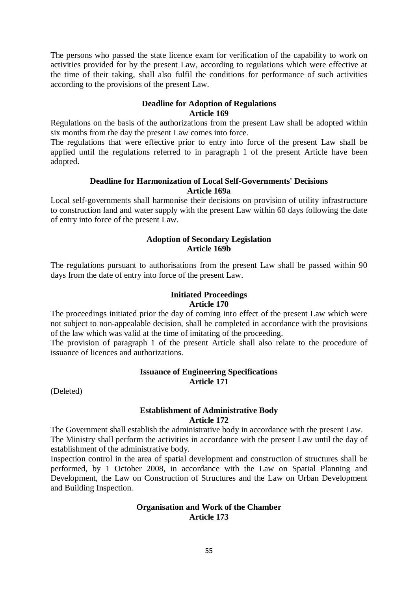The persons who passed the state licence exam for verification of the capability to work on activities provided for by the present Law, according to regulations which were effective at the time of their taking, shall also fulfil the conditions for performance of such activities according to the provisions of the present Law.

## **Deadline for Adoption of Regulations Article 169**

Regulations on the basis of the authorizations from the present Law shall be adopted within six months from the day the present Law comes into force.

The regulations that were effective prior to entry into force of the present Law shall be applied until the regulations referred to in paragraph 1 of the present Article have been adopted.

## **Deadline for Harmonization of Local Self-Governments' Decisions Article 169a**

Local self-governments shall harmonise their decisions on provision of utility infrastructure to construction land and water supply with the present Law within 60 days following the date of entry into force of the present Law.

## **Adoption of Secondary Legislation Article 169b**

The regulations pursuant to authorisations from the present Law shall be passed within 90 days from the date of entry into force of the present Law.

## **Initiated Proceedings Article 170**

The proceedings initiated prior the day of coming into effect of the present Law which were not subject to non-appealable decision, shall be completed in accordance with the provisions of the law which was valid at the time of imitating of the proceeding.

The provision of paragraph 1 of the present Article shall also relate to the procedure of issuance of licences and authorizations.

## **Issuance of Engineering Specifications Article 171**

(Deleted)

## **Establishment of Administrative Body Article 172**

The Government shall establish the administrative body in accordance with the present Law. The Ministry shall perform the activities in accordance with the present Law until the day of establishment of the administrative body.

Inspection control in the area of spatial development and construction of structures shall be performed, by 1 October 2008, in accordance with the Law on Spatial Planning and Development, the Law on Construction of Structures and the Law on Urban Development and Building Inspection.

#### **Organisation and Work of the Chamber Article 173**